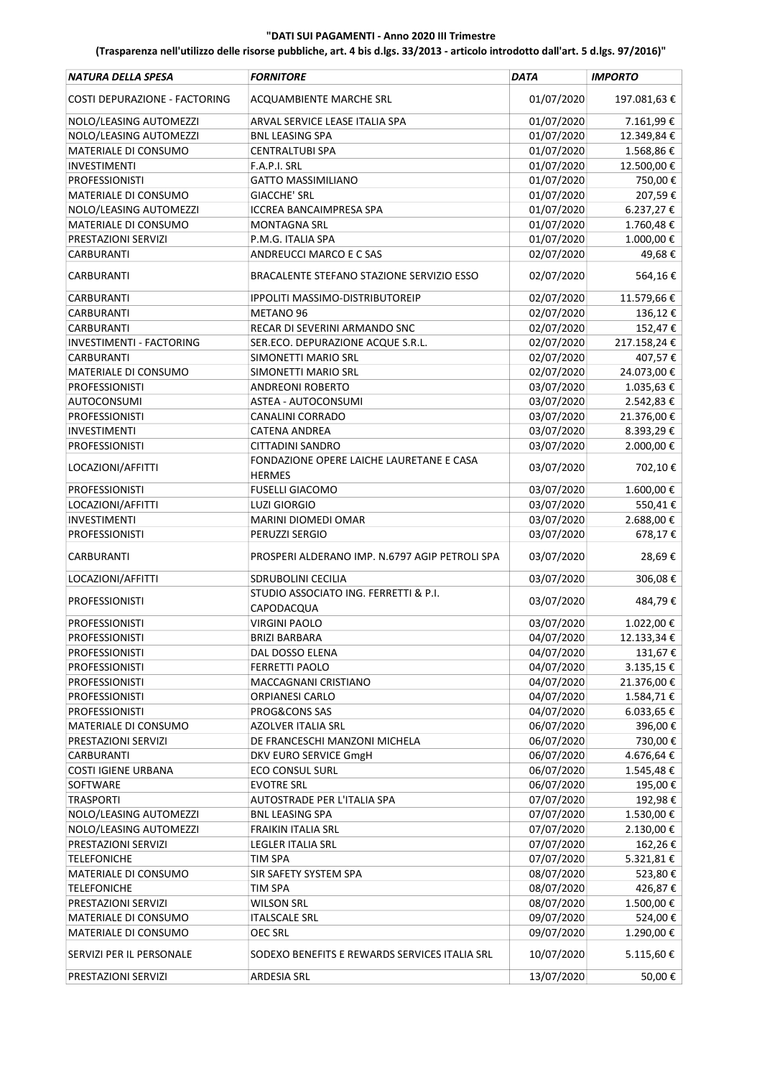| NATURA DELLA SPESA              | <b>FORNITORE</b>                                          | <b>DATA</b> | <b>IMPORTO</b>   |
|---------------------------------|-----------------------------------------------------------|-------------|------------------|
| COSTI DEPURAZIONE - FACTORING   | ACQUAMBIENTE MARCHE SRL                                   | 01/07/2020  | 197.081,63€      |
| NOLO/LEASING AUTOMEZZI          | ARVAL SERVICE LEASE ITALIA SPA                            | 01/07/2020  | 7.161,99€        |
| NOLO/LEASING AUTOMEZZI          | <b>BNL LEASING SPA</b>                                    | 01/07/2020  | 12.349,84€       |
| MATERIALE DI CONSUMO            | <b>CENTRALTUBI SPA</b>                                    | 01/07/2020  | 1.568,86€        |
| <b>INVESTIMENTI</b>             | F.A.P.I. SRL                                              | 01/07/2020  | 12.500,00 €      |
| <b>PROFESSIONISTI</b>           | <b>GATTO MASSIMILIANO</b>                                 | 01/07/2020  | 750,00€          |
| MATERIALE DI CONSUMO            | <b>GIACCHE' SRL</b>                                       | 01/07/2020  | 207,59€          |
| NOLO/LEASING AUTOMEZZI          | ICCREA BANCAIMPRESA SPA                                   | 01/07/2020  | 6.237,27€        |
| MATERIALE DI CONSUMO            | <b>MONTAGNA SRL</b>                                       | 01/07/2020  | 1.760,48€        |
| PRESTAZIONI SERVIZI             | P.M.G. ITALIA SPA                                         | 01/07/2020  | 1.000,00€        |
| CARBURANTI                      | ANDREUCCI MARCO E C SAS                                   | 02/07/2020  | 49,68€           |
| CARBURANTI                      | BRACALENTE STEFANO STAZIONE SERVIZIO ESSO                 | 02/07/2020  | 564,16€          |
| CARBURANTI                      | <b>IPPOLITI MASSIMO-DISTRIBUTOREIP</b>                    | 02/07/2020  | 11.579,66€       |
| <b>CARBURANTI</b>               | METANO 96                                                 | 02/07/2020  | 136,12€          |
|                                 | RECAR DI SEVERINI ARMANDO SNC                             | 02/07/2020  | 152,47€          |
| CARBURANTI                      |                                                           |             |                  |
| <b>INVESTIMENTI - FACTORING</b> | SER.ECO. DEPURAZIONE ACQUE S.R.L.                         | 02/07/2020  | 217.158,24€      |
| CARBURANTI                      | SIMONETTI MARIO SRL                                       | 02/07/2020  | 407,57€          |
| MATERIALE DI CONSUMO            | SIMONETTI MARIO SRL                                       | 02/07/2020  | 24.073,00€       |
| <b>PROFESSIONISTI</b>           | <b>ANDREONI ROBERTO</b>                                   | 03/07/2020  | 1.035,63€        |
| AUTOCONSUMI                     | ASTEA - AUTOCONSUMI                                       | 03/07/2020  | 2.542,83 €       |
| <b>PROFESSIONISTI</b>           | CANALINI CORRADO                                          | 03/07/2020  | 21.376,00€       |
| <b>INVESTIMENTI</b>             | <b>CATENA ANDREA</b>                                      | 03/07/2020  | 8.393,29€        |
| <b>PROFESSIONISTI</b>           | CITTADINI SANDRO                                          | 03/07/2020  | 2.000,00€        |
| LOCAZIONI/AFFITTI               | FONDAZIONE OPERE LAICHE LAURETANE E CASA<br><b>HERMES</b> | 03/07/2020  | 702,10€          |
| <b>PROFESSIONISTI</b>           | <b>FUSELLI GIACOMO</b>                                    | 03/07/2020  | 1.600,00€        |
| LOCAZIONI/AFFITTI               | <b>LUZI GIORGIO</b>                                       | 03/07/2020  | 550,41€          |
| <b>INVESTIMENTI</b>             | MARINI DIOMEDI OMAR                                       | 03/07/2020  | 2.688,00 €       |
| <b>PROFESSIONISTI</b>           | PERUZZI SERGIO                                            | 03/07/2020  | 678,17€          |
| CARBURANTI                      | PROSPERI ALDERANO IMP. N.6797 AGIP PETROLI SPA            | 03/07/2020  | 28,69€           |
| LOCAZIONI/AFFITTI               | SDRUBOLINI CECILIA                                        | 03/07/2020  | 306,08€          |
| <b>PROFESSIONISTI</b>           | STUDIO ASSOCIATO ING. FERRETTI & P.I.<br>CAPODACQUA       | 03/07/2020  | 484,79€          |
| <b>PROFESSIONISTI</b>           | <b>VIRGINI PAOLO</b>                                      | 03/07/2020  | 1.022,00 €       |
| <b>PROFESSIONISTI</b>           | <b>BRIZI BARBARA</b>                                      | 04/07/2020  | 12.133,34 €      |
| <b>PROFESSIONISTI</b>           | DAL DOSSO ELENA                                           | 04/07/2020  | 131,67€          |
| <b>PROFESSIONISTI</b>           | <b>FERRETTI PAOLO</b>                                     | 04/07/2020  | $3.135,15$ $\in$ |
| PROFESSIONISTI                  | MACCAGNANI CRISTIANO                                      | 04/07/2020  | 21.376,00€       |
| <b>PROFESSIONISTI</b>           | <b>ORPIANESI CARLO</b>                                    |             |                  |
|                                 |                                                           | 04/07/2020  | 1.584,71€        |
| <b>PROFESSIONISTI</b>           | PROG&CONS SAS                                             | 04/07/2020  | $6.033,65 \in$   |
| MATERIALE DI CONSUMO            | AZOLVER ITALIA SRL                                        | 06/07/2020  | 396,00€          |
| PRESTAZIONI SERVIZI             | DE FRANCESCHI MANZONI MICHELA                             | 06/07/2020  | 730,00€          |
| <b>CARBURANTI</b>               | DKV EURO SERVICE GmgH                                     | 06/07/2020  | 4.676,64 €       |
| <b>COSTI IGIENE URBANA</b>      | <b>ECO CONSUL SURL</b>                                    | 06/07/2020  | 1.545,48€        |
| SOFTWARE                        | <b>EVOTRE SRL</b>                                         | 06/07/2020  | 195,00€          |
| <b>TRASPORTI</b>                | AUTOSTRADE PER L'ITALIA SPA                               | 07/07/2020  | 192,98€          |
| NOLO/LEASING AUTOMEZZI          | <b>BNL LEASING SPA</b>                                    | 07/07/2020  | 1.530,00€        |
| NOLO/LEASING AUTOMEZZI          | FRAIKIN ITALIA SRL                                        | 07/07/2020  | 2.130,00€        |
| PRESTAZIONI SERVIZI             | <b>LEGLER ITALIA SRL</b>                                  | 07/07/2020  | 162,26€          |
| <b>TELEFONICHE</b>              | <b>TIM SPA</b>                                            | 07/07/2020  | 5.321,81€        |
| MATERIALE DI CONSUMO            | SIR SAFETY SYSTEM SPA                                     | 08/07/2020  | 523,80€          |
| <b>TELEFONICHE</b>              | TIM SPA                                                   | 08/07/2020  | 426,87€          |
| PRESTAZIONI SERVIZI             | <b>WILSON SRL</b>                                         | 08/07/2020  | 1.500,00€        |
| MATERIALE DI CONSUMO            | <b>ITALSCALE SRL</b>                                      | 09/07/2020  | 524,00€          |
| MATERIALE DI CONSUMO            | <b>OEC SRL</b>                                            | 09/07/2020  | 1.290,00 €       |
| SERVIZI PER IL PERSONALE        | SODEXO BENEFITS E REWARDS SERVICES ITALIA SRL             | 10/07/2020  | 5.115,60€        |
| PRESTAZIONI SERVIZI             | <b>ARDESIA SRL</b>                                        | 13/07/2020  | 50,00€           |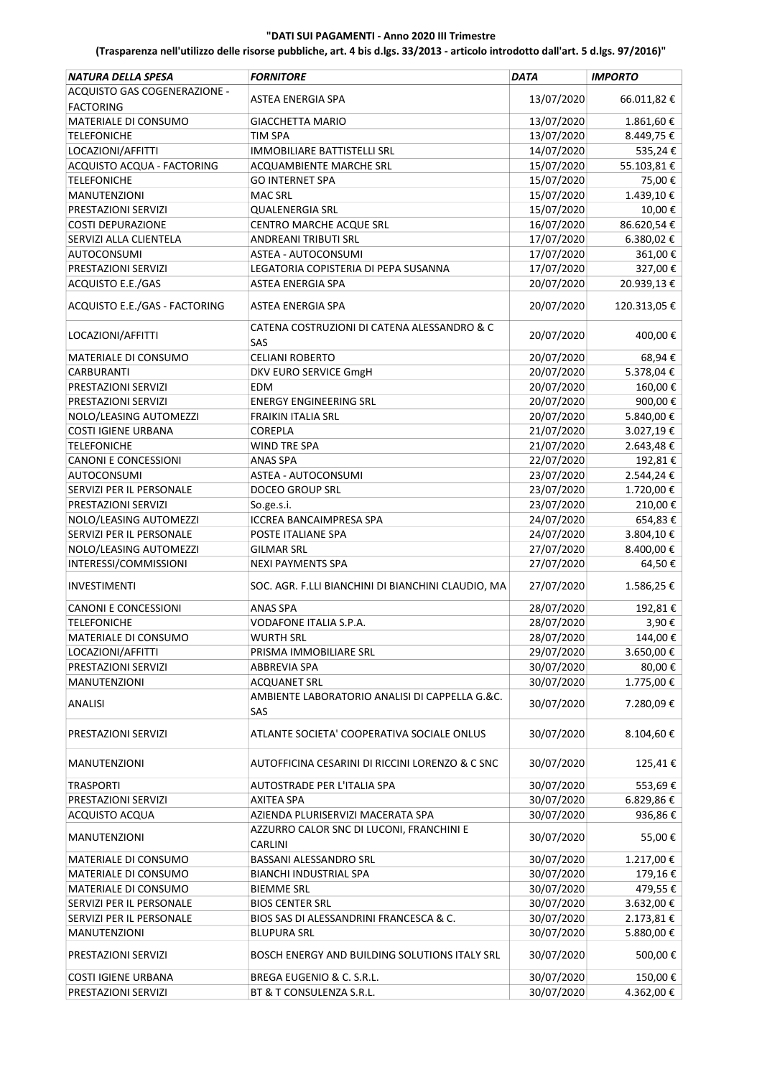| NATURA DELLA SPESA            | <b>FORNITORE</b>                                             | <b>DATA</b> | <b>IMPORTO</b> |
|-------------------------------|--------------------------------------------------------------|-------------|----------------|
| ACQUISTO GAS COGENERAZIONE -  |                                                              |             |                |
| <b>FACTORING</b>              | ASTEA ENERGIA SPA                                            | 13/07/2020  | 66.011,82€     |
| MATERIALE DI CONSUMO          | <b>GIACCHETTA MARIO</b>                                      | 13/07/2020  | 1.861,60€      |
| <b>TELEFONICHE</b>            | <b>TIM SPA</b>                                               | 13/07/2020  | 8.449,75€      |
| LOCAZIONI/AFFITTI             | <b>IMMOBILIARE BATTISTELLI SRL</b>                           | 14/07/2020  | 535,24€        |
| ACQUISTO ACQUA - FACTORING    | ACQUAMBIENTE MARCHE SRL                                      | 15/07/2020  | 55.103,81€     |
| <b>TELEFONICHE</b>            | <b>GO INTERNET SPA</b>                                       | 15/07/2020  | 75,00€         |
| <b>MANUTENZIONI</b>           | <b>MAC SRL</b>                                               | 15/07/2020  | 1.439,10€      |
| PRESTAZIONI SERVIZI           | <b>QUALENERGIA SRL</b>                                       | 15/07/2020  | 10,00€         |
| <b>COSTI DEPURAZIONE</b>      | CENTRO MARCHE ACQUE SRL                                      | 16/07/2020  | 86.620,54€     |
| SERVIZI ALLA CLIENTELA        | ANDREANI TRIBUTI SRL                                         | 17/07/2020  | 6.380,02€      |
| <b>AUTOCONSUMI</b>            | ASTEA - AUTOCONSUMI                                          | 17/07/2020  | 361,00€        |
| PRESTAZIONI SERVIZI           | LEGATORIA COPISTERIA DI PEPA SUSANNA                         | 17/07/2020  | 327,00€        |
| ACQUISTO E.E./GAS             | <b>ASTEA ENERGIA SPA</b>                                     | 20/07/2020  | 20.939,13€     |
| ACQUISTO E.E./GAS - FACTORING | ASTEA ENERGIA SPA                                            | 20/07/2020  | 120.313,05€    |
|                               | CATENA COSTRUZIONI DI CATENA ALESSANDRO & C                  |             |                |
| LOCAZIONI/AFFITTI             | SAS                                                          | 20/07/2020  | 400,00€        |
| MATERIALE DI CONSUMO          | <b>CELIANI ROBERTO</b>                                       | 20/07/2020  | 68,94€         |
| CARBURANTI                    | DKV EURO SERVICE GmgH                                        | 20/07/2020  | 5.378,04€      |
| PRESTAZIONI SERVIZI           | <b>EDM</b>                                                   | 20/07/2020  | 160,00€        |
| PRESTAZIONI SERVIZI           | <b>ENERGY ENGINEERING SRL</b>                                | 20/07/2020  | 900,00€        |
| NOLO/LEASING AUTOMEZZI        | FRAIKIN ITALIA SRL                                           | 20/07/2020  | 5.840,00€      |
| <b>COSTI IGIENE URBANA</b>    | COREPLA                                                      | 21/07/2020  | 3.027,19€      |
| <b>TELEFONICHE</b>            | WIND TRE SPA                                                 | 21/07/2020  | 2.643,48€      |
| <b>CANONI E CONCESSIONI</b>   | <b>ANAS SPA</b>                                              | 22/07/2020  | 192,81€        |
| AUTOCONSUMI                   | ASTEA - AUTOCONSUMI                                          | 23/07/2020  | 2.544,24€      |
| SERVIZI PER IL PERSONALE      | DOCEO GROUP SRL                                              | 23/07/2020  | 1.720,00€      |
|                               |                                                              |             |                |
| PRESTAZIONI SERVIZI           | So.ge.s.i.                                                   | 23/07/2020  | 210,00€        |
| NOLO/LEASING AUTOMEZZI        | <b>ICCREA BANCAIMPRESA SPA</b>                               | 24/07/2020  | 654,83€        |
| SERVIZI PER IL PERSONALE      | POSTE ITALIANE SPA                                           | 24/07/2020  | 3.804,10€      |
| NOLO/LEASING AUTOMEZZI        | <b>GILMAR SRL</b>                                            | 27/07/2020  | 8.400,00€      |
| INTERESSI/COMMISSIONI         | <b>NEXI PAYMENTS SPA</b>                                     | 27/07/2020  | 64,50€         |
| <b>INVESTIMENTI</b>           | SOC. AGR. F.LLI BIANCHINI DI BIANCHINI CLAUDIO, MA           | 27/07/2020  | 1.586,25€      |
| <b>CANONI E CONCESSIONI</b>   | ANAS SPA                                                     | 28/07/2020  | 192,81€        |
| <b>TELEFONICHE</b>            | VODAFONE ITALIA S.P.A.                                       | 28/07/2020  | 3,90€          |
| MATERIALE DI CONSUMO          | <b>WURTH SRL</b>                                             | 28/07/2020  | 144,00€        |
| LOCAZIONI/AFFITTI             | PRISMA IMMOBILIARE SRL                                       | 29/07/2020  | 3.650,00 €     |
| PRESTAZIONI SERVIZI           | ABBREVIA SPA                                                 | 30/07/2020  | 80,00€         |
| MANUTENZIONI                  | <b>ACQUANET SRL</b>                                          | 30/07/2020  | 1.775,00€      |
| <b>ANALISI</b>                | AMBIENTE LABORATORIO ANALISI DI CAPPELLA G.&C.<br><b>SAS</b> | 30/07/2020  | 7.280,09€      |
|                               |                                                              |             |                |
| PRESTAZIONI SERVIZI           | ATLANTE SOCIETA' COOPERATIVA SOCIALE ONLUS                   | 30/07/2020  | 8.104,60€      |
| MANUTENZIONI                  | AUTOFFICINA CESARINI DI RICCINI LORENZO & C SNC              | 30/07/2020  | 125,41€        |
| <b>TRASPORTI</b>              | AUTOSTRADE PER L'ITALIA SPA                                  | 30/07/2020  | 553,69€        |
| PRESTAZIONI SERVIZI           | AXITEA SPA                                                   | 30/07/2020  | 6.829,86€      |
| ACQUISTO ACQUA                | AZIENDA PLURISERVIZI MACERATA SPA                            | 30/07/2020  | 936,86€        |
| <b>MANUTENZIONI</b>           | AZZURRO CALOR SNC DI LUCONI, FRANCHINI E<br><b>CARLINI</b>   | 30/07/2020  | 55,00€         |
| MATERIALE DI CONSUMO          | BASSANI ALESSANDRO SRL                                       | 30/07/2020  | 1.217,00€      |
| MATERIALE DI CONSUMO          | <b>BIANCHI INDUSTRIAL SPA</b>                                | 30/07/2020  | 179,16€        |
|                               |                                                              | 30/07/2020  |                |
| MATERIALE DI CONSUMO          | <b>BIEMME SRL</b>                                            |             | 479,55€        |
| SERVIZI PER IL PERSONALE      | <b>BIOS CENTER SRL</b>                                       | 30/07/2020  | 3.632,00€      |
| SERVIZI PER IL PERSONALE      | BIOS SAS DI ALESSANDRINI FRANCESCA & C.                      | 30/07/2020  | 2.173,81€      |
| MANUTENZIONI                  | <b>BLUPURA SRL</b>                                           | 30/07/2020  | 5.880,00 €     |
| PRESTAZIONI SERVIZI           | BOSCH ENERGY AND BUILDING SOLUTIONS ITALY SRL                | 30/07/2020  | 500,00€        |
| <b>COSTI IGIENE URBANA</b>    | BREGA EUGENIO & C. S.R.L.                                    | 30/07/2020  | 150,00€        |
| PRESTAZIONI SERVIZI           | BT & T CONSULENZA S.R.L.                                     | 30/07/2020  | 4.362,00 €     |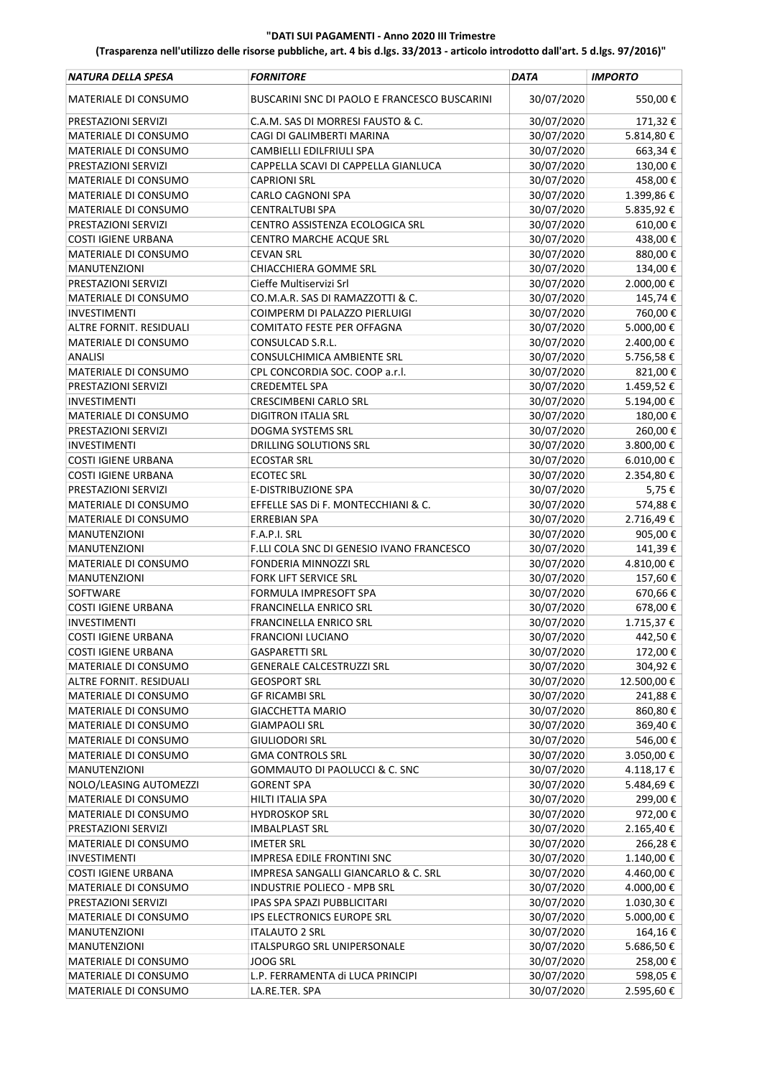| NATURA DELLA SPESA          | <b>FORNITORE</b>                             | <b>DATA</b> | <b>IMPORTO</b> |
|-----------------------------|----------------------------------------------|-------------|----------------|
| MATERIALE DI CONSUMO        | BUSCARINI SNC DI PAOLO E FRANCESCO BUSCARINI | 30/07/2020  | 550,00€        |
| PRESTAZIONI SERVIZI         | C.A.M. SAS DI MORRESI FAUSTO & C.            | 30/07/2020  | 171,32€        |
| MATERIALE DI CONSUMO        | CAGI DI GALIMBERTI MARINA                    | 30/07/2020  | 5.814,80€      |
| MATERIALE DI CONSUMO        | CAMBIELLI EDILFRIULI SPA                     | 30/07/2020  | 663,34€        |
| PRESTAZIONI SERVIZI         | CAPPELLA SCAVI DI CAPPELLA GIANLUCA          | 30/07/2020  | 130,00€        |
| MATERIALE DI CONSUMO        | <b>CAPRIONI SRL</b>                          | 30/07/2020  | 458,00€        |
| <b>MATERIALE DI CONSUMO</b> | <b>CARLO CAGNONI SPA</b>                     | 30/07/2020  | 1.399,86€      |
| MATERIALE DI CONSUMO        | <b>CENTRALTUBI SPA</b>                       | 30/07/2020  | 5.835,92€      |
| PRESTAZIONI SERVIZI         | CENTRO ASSISTENZA ECOLOGICA SRL              | 30/07/2020  | 610,00€        |
| <b>COSTI IGIENE URBANA</b>  | CENTRO MARCHE ACQUE SRL                      | 30/07/2020  | 438,00€        |
| MATERIALE DI CONSUMO        | <b>CEVAN SRL</b>                             | 30/07/2020  | 880,00€        |
| MANUTENZIONI                | CHIACCHIERA GOMME SRL                        | 30/07/2020  | 134,00€        |
| PRESTAZIONI SERVIZI         | Cieffe Multiservizi Srl                      | 30/07/2020  | 2.000,00 €     |
| MATERIALE DI CONSUMO        | CO.M.A.R. SAS DI RAMAZZOTTI & C.             | 30/07/2020  | 145,74€        |
| <b>INVESTIMENTI</b>         | COIMPERM DI PALAZZO PIERLUIGI                | 30/07/2020  | 760,00€        |
| ALTRE FORNIT. RESIDUALI     | <b>COMITATO FESTE PER OFFAGNA</b>            | 30/07/2020  | 5.000,00 €     |
| MATERIALE DI CONSUMO        | CONSULCAD S.R.L.                             | 30/07/2020  | 2.400,00 €     |
| <b>ANALISI</b>              | CONSULCHIMICA AMBIENTE SRL                   | 30/07/2020  | 5.756,58€      |
| MATERIALE DI CONSUMO        | CPL CONCORDIA SOC. COOP a.r.l.               | 30/07/2020  | 821,00€        |
| PRESTAZIONI SERVIZI         | <b>CREDEMTEL SPA</b>                         | 30/07/2020  | 1.459,52€      |
| <b>INVESTIMENTI</b>         | <b>CRESCIMBENI CARLO SRL</b>                 | 30/07/2020  | 5.194,00€      |
| MATERIALE DI CONSUMO        | <b>DIGITRON ITALIA SRL</b>                   | 30/07/2020  | 180,00€        |
| PRESTAZIONI SERVIZI         | DOGMA SYSTEMS SRL                            | 30/07/2020  | 260,00€        |
| <b>INVESTIMENTI</b>         | DRILLING SOLUTIONS SRL                       | 30/07/2020  | 3.800,00€      |
|                             |                                              |             |                |
| <b>COSTI IGIENE URBANA</b>  | <b>ECOSTAR SRL</b>                           | 30/07/2020  | $6.010,00 \in$ |
| <b>COSTI IGIENE URBANA</b>  | <b>ECOTEC SRL</b>                            | 30/07/2020  | 2.354,80€      |
| PRESTAZIONI SERVIZI         | E-DISTRIBUZIONE SPA                          | 30/07/2020  | 5,75€          |
| MATERIALE DI CONSUMO        | EFFELLE SAS DI F. MONTECCHIANI & C.          | 30/07/2020  | 574,88€        |
| MATERIALE DI CONSUMO        | <b>ERREBIAN SPA</b>                          | 30/07/2020  | 2.716,49€      |
| MANUTENZIONI                | F.A.P.I. SRL                                 | 30/07/2020  | 905,00€        |
| <b>MANUTENZIONI</b>         | F.LLI COLA SNC DI GENESIO IVANO FRANCESCO    | 30/07/2020  | 141,39€        |
| MATERIALE DI CONSUMO        | <b>FONDERIA MINNOZZI SRL</b>                 | 30/07/2020  | 4.810,00€      |
| <b>MANUTENZIONI</b>         | <b>FORK LIFT SERVICE SRL</b>                 | 30/07/2020  | 157,60€        |
| SOFTWARE                    | FORMULA IMPRESOFT SPA                        | 30/07/2020  | 670,66€        |
| <b>COSTI IGIENE URBANA</b>  | <b>FRANCINELLA ENRICO SRL</b>                | 30/07/2020  | 678,00€        |
| <b>INVESTIMENTI</b>         | <b>FRANCINELLA ENRICO SRL</b>                | 30/07/2020  | 1.715,37€      |
| <b>COSTI IGIENE URBANA</b>  | <b>FRANCIONI LUCIANO</b>                     | 30/07/2020  | 442,50€        |
| <b>COSTI IGIENE URBANA</b>  | <b>GASPARETTI SRL</b>                        | 30/07/2020  | 172,00 €       |
| MATERIALE DI CONSUMO        | <b>GENERALE CALCESTRUZZI SRL</b>             | 30/07/2020  | 304,92€        |
| ALTRE FORNIT. RESIDUALI     | <b>GEOSPORT SRL</b>                          | 30/07/2020  | 12.500,00 €    |
| MATERIALE DI CONSUMO        | <b>GF RICAMBI SRL</b>                        | 30/07/2020  | 241,88€        |
| MATERIALE DI CONSUMO        | <b>GIACCHETTA MARIO</b>                      | 30/07/2020  | 860,80€        |
| MATERIALE DI CONSUMO        | <b>GIAMPAOLI SRL</b>                         | 30/07/2020  | 369,40€        |
| MATERIALE DI CONSUMO        | <b>GIULIODORI SRL</b>                        | 30/07/2020  | 546,00€        |
| MATERIALE DI CONSUMO        | <b>GMA CONTROLS SRL</b>                      | 30/07/2020  | 3.050,00 €     |
| MANUTENZIONI                | GOMMAUTO DI PAOLUCCI & C. SNC                | 30/07/2020  | 4.118,17€      |
| NOLO/LEASING AUTOMEZZI      | <b>GORENT SPA</b>                            | 30/07/2020  | 5.484,69€      |
| MATERIALE DI CONSUMO        | HILTI ITALIA SPA                             | 30/07/2020  | 299,00€        |
| MATERIALE DI CONSUMO        | <b>HYDROSKOP SRL</b>                         | 30/07/2020  | 972,00€        |
| PRESTAZIONI SERVIZI         | <b>IMBALPLAST SRL</b>                        | 30/07/2020  | 2.165,40€      |
| MATERIALE DI CONSUMO        | <b>IMETER SRL</b>                            | 30/07/2020  | 266,28€        |
| <b>INVESTIMENTI</b>         | IMPRESA EDILE FRONTINI SNC                   | 30/07/2020  | 1.140,00 €     |
| COSTI IGIENE URBANA         | IMPRESA SANGALLI GIANCARLO & C. SRL          | 30/07/2020  | 4.460,00 €     |
| MATERIALE DI CONSUMO        | INDUSTRIE POLIECO - MPB SRL                  | 30/07/2020  | 4.000,00 €     |
| PRESTAZIONI SERVIZI         | IPAS SPA SPAZI PUBBLICITARI                  | 30/07/2020  | 1.030,30 €     |
| MATERIALE DI CONSUMO        | IPS ELECTRONICS EUROPE SRL                   | 30/07/2020  | 5.000,00 €     |
| MANUTENZIONI                | <b>ITALAUTO 2 SRL</b>                        | 30/07/2020  | 164,16€        |
| MANUTENZIONI                | ITALSPURGO SRL UNIPERSONALE                  | 30/07/2020  | 5.686,50€      |
| MATERIALE DI CONSUMO        | <b>JOOG SRL</b>                              | 30/07/2020  | 258,00€        |
| MATERIALE DI CONSUMO        | L.P. FERRAMENTA di LUCA PRINCIPI             | 30/07/2020  | 598,05€        |
| MATERIALE DI CONSUMO        | LA.RE.TER. SPA                               | 30/07/2020  | 2.595,60€      |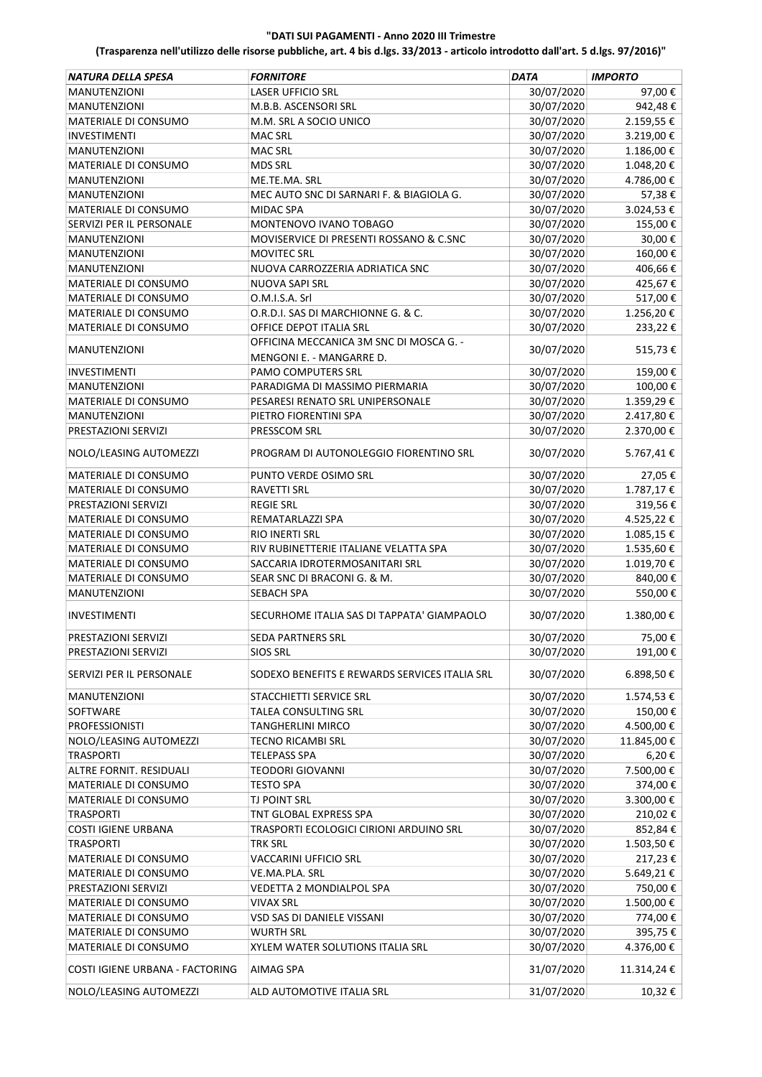| <b>NATURA DELLA SPESA</b>       | <b>FORNITORE</b>                              | <b>DATA</b> | <b>IMPORTO</b> |
|---------------------------------|-----------------------------------------------|-------------|----------------|
| <b>MANUTENZIONI</b>             | <b>LASER UFFICIO SRL</b>                      | 30/07/2020  | 97,00€         |
| <b>MANUTENZIONI</b>             | M.B.B. ASCENSORI SRL                          | 30/07/2020  | 942,48€        |
| MATERIALE DI CONSUMO            | M.M. SRL A SOCIO UNICO                        | 30/07/2020  | 2.159,55€      |
| INVESTIMENTI                    | <b>MAC SRL</b>                                | 30/07/2020  | 3.219,00€      |
| <b>MANUTENZIONI</b>             | <b>MAC SRL</b>                                | 30/07/2020  | 1.186,00€      |
| MATERIALE DI CONSUMO            | <b>MDS SRL</b>                                | 30/07/2020  | 1.048,20€      |
| <b>MANUTENZIONI</b>             | ME.TE.MA. SRL                                 | 30/07/2020  | 4.786,00€      |
| <b>MANUTENZIONI</b>             | MEC AUTO SNC DI SARNARI F. & BIAGIOLA G.      | 30/07/2020  | 57,38€         |
| <b>MATERIALE DI CONSUMO</b>     | <b>MIDAC SPA</b>                              | 30/07/2020  | 3.024,53€      |
| SERVIZI PER IL PERSONALE        | MONTENOVO IVANO TOBAGO                        | 30/07/2020  | 155,00€        |
| <b>MANUTENZIONI</b>             | MOVISERVICE DI PRESENTI ROSSANO & C.SNC       | 30/07/2020  | 30,00€         |
| MANUTENZIONI                    | <b>MOVITEC SRL</b>                            | 30/07/2020  | 160,00€        |
| <b>MANUTENZIONI</b>             | NUOVA CARROZZERIA ADRIATICA SNC               | 30/07/2020  | 406,66€        |
| MATERIALE DI CONSUMO            | NUOVA SAPI SRL                                | 30/07/2020  | 425,67€        |
| MATERIALE DI CONSUMO            | O.M.I.S.A. Srl                                | 30/07/2020  | 517,00€        |
| MATERIALE DI CONSUMO            | O.R.D.I. SAS DI MARCHIONNE G. & C.            | 30/07/2020  | 1.256,20€      |
| <b>MATERIALE DI CONSUMO</b>     | OFFICE DEPOT ITALIA SRL                       | 30/07/2020  | 233,22€        |
|                                 | OFFICINA MECCANICA 3M SNC DI MOSCA G. -       |             |                |
| <b>MANUTENZIONI</b>             | MENGONI E. - MANGARRE D.                      | 30/07/2020  | 515,73€        |
| <b>INVESTIMENTI</b>             | PAMO COMPUTERS SRL                            | 30/07/2020  | 159,00€        |
| <b>MANUTENZIONI</b>             | PARADIGMA DI MASSIMO PIERMARIA                | 30/07/2020  | 100,00€        |
| <b>MATERIALE DI CONSUMO</b>     | PESARESI RENATO SRL UNIPERSONALE              | 30/07/2020  | 1.359,29€      |
| <b>MANUTENZIONI</b>             | PIETRO FIORENTINI SPA                         | 30/07/2020  | 2.417,80 €     |
| PRESTAZIONI SERVIZI             | PRESSCOM SRL                                  | 30/07/2020  | 2.370,00€      |
| NOLO/LEASING AUTOMEZZI          | PROGRAM DI AUTONOLEGGIO FIORENTINO SRL        | 30/07/2020  | 5.767,41€      |
| MATERIALE DI CONSUMO            | PUNTO VERDE OSIMO SRL                         | 30/07/2020  | 27,05€         |
| MATERIALE DI CONSUMO            | RAVETTI SRL                                   | 30/07/2020  | 1.787,17€      |
| PRESTAZIONI SERVIZI             | <b>REGIE SRL</b>                              | 30/07/2020  | 319,56€        |
| MATERIALE DI CONSUMO            | REMATARLAZZI SPA                              | 30/07/2020  | 4.525,22 €     |
| MATERIALE DI CONSUMO            | RIO INERTI SRL                                | 30/07/2020  | 1.085,15€      |
| MATERIALE DI CONSUMO            | RIV RUBINETTERIE ITALIANE VELATTA SPA         | 30/07/2020  | 1.535,60€      |
| MATERIALE DI CONSUMO            | SACCARIA IDROTERMOSANITARI SRL                | 30/07/2020  | 1.019,70€      |
| MATERIALE DI CONSUMO            | SEAR SNC DI BRACONI G. & M.                   | 30/07/2020  | 840,00€        |
| <b>MANUTENZIONI</b>             | <b>SEBACH SPA</b>                             | 30/07/2020  | 550,00€        |
| <b>INVESTIMENTI</b>             | SECURHOME ITALIA SAS DI TAPPATA' GIAMPAOLO    | 30/07/2020  | 1.380,00€      |
|                                 |                                               |             |                |
| PRESTAZIONI SERVIZI             | SEDA PARTNERS SRL                             | 30/07/2020  | 75,00€         |
| PRESTAZIONI SERVIZI             | <b>SIOS SRL</b>                               | 30/07/2020  | 191,00€        |
| SERVIZI PER IL PERSONALE        | SODEXO BENEFITS E REWARDS SERVICES ITALIA SRL | 30/07/2020  | 6.898,50€      |
| MANUTENZIONI                    | STACCHIETTI SERVICE SRL                       | 30/07/2020  | 1.574,53€      |
| SOFTWARE                        | TALEA CONSULTING SRL                          | 30/07/2020  | 150,00€        |
| <b>PROFESSIONISTI</b>           | <b>TANGHERLINI MIRCO</b>                      | 30/07/2020  | 4.500,00€      |
| NOLO/LEASING AUTOMEZZI          | <b>TECNO RICAMBI SRL</b>                      | 30/07/2020  | 11.845,00€     |
| TRASPORTI                       | <b>TELEPASS SPA</b>                           | 30/07/2020  | 6,20€          |
| ALTRE FORNIT. RESIDUALI         | <b>TEODORI GIOVANNI</b>                       | 30/07/2020  | 7.500,00€      |
| MATERIALE DI CONSUMO            | <b>TESTO SPA</b>                              | 30/07/2020  | 374,00€        |
| MATERIALE DI CONSUMO            | TJ POINT SRL                                  | 30/07/2020  | 3.300,00€      |
| <b>TRASPORTI</b>                | TNT GLOBAL EXPRESS SPA                        | 30/07/2020  | 210,02€        |
| <b>COSTI IGIENE URBANA</b>      | TRASPORTI ECOLOGICI CIRIONI ARDUINO SRL       | 30/07/2020  | 852,84€        |
| <b>TRASPORTI</b>                | <b>TRK SRL</b>                                | 30/07/2020  | 1.503,50€      |
| MATERIALE DI CONSUMO            | VACCARINI UFFICIO SRL                         | 30/07/2020  | 217,23€        |
| MATERIALE DI CONSUMO            | VE.MA.PLA. SRL                                | 30/07/2020  | 5.649,21€      |
| PRESTAZIONI SERVIZI             | VEDETTA 2 MONDIALPOL SPA                      | 30/07/2020  | 750,00€        |
| MATERIALE DI CONSUMO            | <b>VIVAX SRL</b>                              | 30/07/2020  | 1.500,00 €     |
| MATERIALE DI CONSUMO            | VSD SAS DI DANIELE VISSANI                    | 30/07/2020  | 774,00€        |
| MATERIALE DI CONSUMO            | <b>WURTH SRL</b>                              | 30/07/2020  | 395,75€        |
| MATERIALE DI CONSUMO            | XYLEM WATER SOLUTIONS ITALIA SRL              | 30/07/2020  | 4.376,00 €     |
| COSTI IGIENE URBANA - FACTORING | AIMAG SPA                                     | 31/07/2020  | 11.314,24€     |
| NOLO/LEASING AUTOMEZZI          | ALD AUTOMOTIVE ITALIA SRL                     | 31/07/2020  | 10,32€         |
|                                 |                                               |             |                |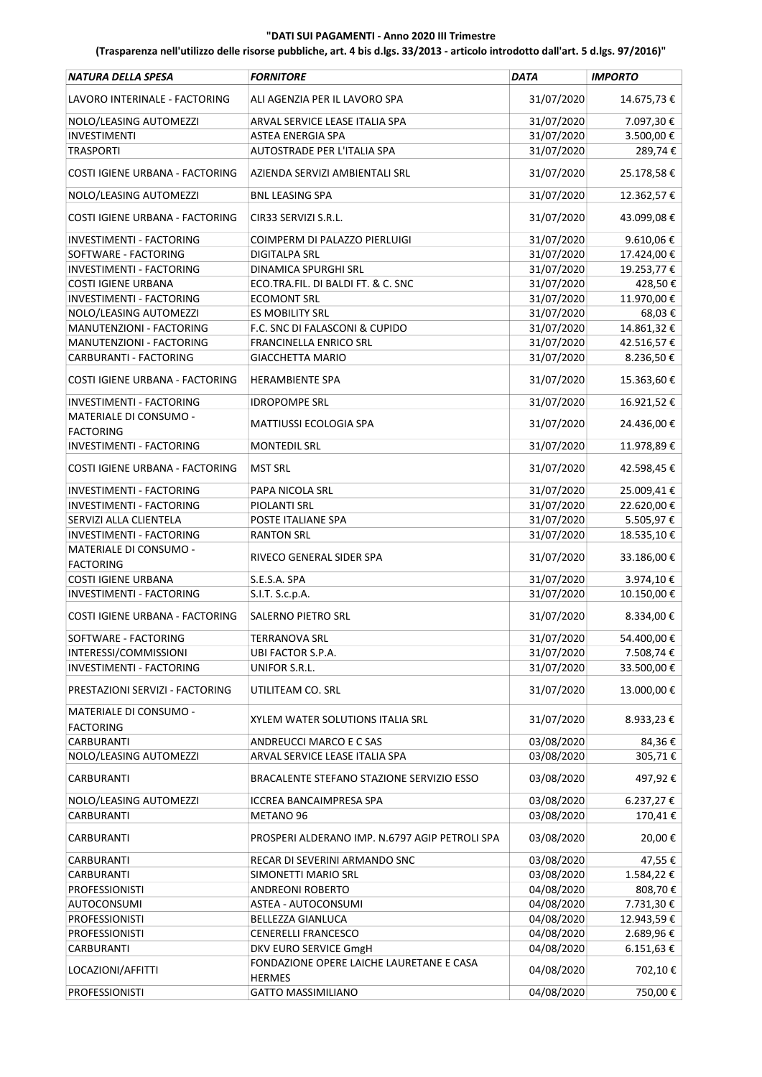| NATURA DELLA SPESA                                 | <b>FORNITORE</b>                               | DATA       | <b>IMPORTO</b>    |
|----------------------------------------------------|------------------------------------------------|------------|-------------------|
| LAVORO INTERINALE - FACTORING                      | ALI AGENZIA PER IL LAVORO SPA                  | 31/07/2020 | 14.675,73€        |
| NOLO/LEASING AUTOMEZZI                             | ARVAL SERVICE LEASE ITALIA SPA                 | 31/07/2020 | 7.097,30 €        |
| INVESTIMENTI                                       | <b>ASTEA ENERGIA SPA</b>                       | 31/07/2020 | 3.500,00 €        |
| <b>TRASPORTI</b>                                   | AUTOSTRADE PER L'ITALIA SPA                    | 31/07/2020 | 289,74€           |
| COSTI IGIENE URBANA - FACTORING                    | AZIENDA SERVIZI AMBIENTALI SRL                 | 31/07/2020 | 25.178,58€        |
| NOLO/LEASING AUTOMEZZI                             | <b>BNL LEASING SPA</b>                         | 31/07/2020 | 12.362,57€        |
| COSTI IGIENE URBANA - FACTORING                    | CIR33 SERVIZI S.R.L.                           | 31/07/2020 | 43.099,08€        |
| INVESTIMENTI - FACTORING                           | COIMPERM DI PALAZZO PIERLUIGI                  | 31/07/2020 | 9.610,06€         |
| SOFTWARE - FACTORING                               | <b>DIGITALPA SRL</b>                           | 31/07/2020 | 17.424,00€        |
| INVESTIMENTI - FACTORING                           | <b>DINAMICA SPURGHI SRL</b>                    | 31/07/2020 | 19.253,77€        |
| <b>COSTI IGIENE URBANA</b>                         | ECO.TRA.FIL. DI BALDI FT. & C. SNC             | 31/07/2020 | 428,50€           |
| INVESTIMENTI - FACTORING                           | <b>ECOMONT SRL</b>                             | 31/07/2020 | 11.970,00€        |
| NOLO/LEASING AUTOMEZZI                             | <b>ES MOBILITY SRL</b>                         | 31/07/2020 | 68,03€            |
| MANUTENZIONI - FACTORING                           | F.C. SNC DI FALASCONI & CUPIDO                 | 31/07/2020 | 14.861,32 €       |
| MANUTENZIONI - FACTORING                           | <b>FRANCINELLA ENRICO SRL</b>                  | 31/07/2020 | 42.516,57€        |
| CARBURANTI - FACTORING                             | <b>GIACCHETTA MARIO</b>                        | 31/07/2020 | 8.236,50€         |
| COSTI IGIENE URBANA - FACTORING                    | <b>HERAMBIENTE SPA</b>                         | 31/07/2020 | 15.363,60€        |
|                                                    |                                                |            |                   |
| INVESTIMENTI - FACTORING<br>MATERIALE DI CONSUMO - | <b>IDROPOMPE SRL</b>                           | 31/07/2020 | 16.921,52€        |
| <b>FACTORING</b>                                   | <b>MATTIUSSI ECOLOGIA SPA</b>                  | 31/07/2020 | 24.436,00€        |
| INVESTIMENTI - FACTORING                           | <b>MONTEDIL SRL</b>                            | 31/07/2020 | 11.978,89€        |
| COSTI IGIENE URBANA - FACTORING                    | <b>MST SRL</b>                                 | 31/07/2020 | 42.598,45€        |
| INVESTIMENTI - FACTORING                           | PAPA NICOLA SRL                                | 31/07/2020 | 25.009,41€        |
| INVESTIMENTI - FACTORING                           | PIOLANTI SRL                                   | 31/07/2020 | 22.620,00€        |
| SERVIZI ALLA CLIENTELA                             | POSTE ITALIANE SPA                             | 31/07/2020 | 5.505,97€         |
| INVESTIMENTI - FACTORING                           | <b>RANTON SRL</b>                              | 31/07/2020 | 18.535,10€        |
| MATERIALE DI CONSUMO -<br><b>FACTORING</b>         | RIVECO GENERAL SIDER SPA                       | 31/07/2020 | 33.186,00€        |
| <b>COSTI IGIENE URBANA</b>                         | S.E.S.A. SPA                                   | 31/07/2020 | 3.974,10€         |
| INVESTIMENTI - FACTORING                           | S.I.T. S.c.p.A.                                | 31/07/2020 | 10.150,00€        |
| COSTI IGIENE URBANA - FACTORING                    | SALERNO PIETRO SRL                             | 31/07/2020 | 8.334,00€         |
| SOFTWARE - FACTORING                               | <b>TERRANOVA SRL</b>                           | 31/07/2020 | 54.400,00€        |
| INTERESSI/COMMISSIONI                              | UBI FACTOR S.P.A.                              | 31/07/2020 | 7.508,74 €        |
| INVESTIMENTI - FACTORING                           | UNIFOR S.R.L.                                  | 31/07/2020 | 33.500,00€        |
| PRESTAZIONI SERVIZI - FACTORING                    | UTILITEAM CO. SRL                              | 31/07/2020 | 13.000,00€        |
| MATERIALE DI CONSUMO -<br><b>FACTORING</b>         | XYLEM WATER SOLUTIONS ITALIA SRL               | 31/07/2020 | 8.933,23€         |
| CARBURANTI                                         | ANDREUCCI MARCO E C SAS                        | 03/08/2020 | 84,36€            |
| NOLO/LEASING AUTOMEZZI                             | ARVAL SERVICE LEASE ITALIA SPA                 | 03/08/2020 | 305,71€           |
| CARBURANTI                                         | BRACALENTE STEFANO STAZIONE SERVIZIO ESSO      | 03/08/2020 | 497,92€           |
| NOLO/LEASING AUTOMEZZI                             | <b>ICCREA BANCAIMPRESA SPA</b>                 | 03/08/2020 | 6.237,27€         |
| CARBURANTI                                         | METANO 96                                      | 03/08/2020 | 170,41€           |
| CARBURANTI                                         | PROSPERI ALDERANO IMP. N.6797 AGIP PETROLI SPA | 03/08/2020 | 20,00€            |
| CARBURANTI                                         | RECAR DI SEVERINI ARMANDO SNC                  | 03/08/2020 | 47,55€            |
| <b>CARBURANTI</b>                                  | SIMONETTI MARIO SRL                            | 03/08/2020 | 1.584,22€         |
| <b>PROFESSIONISTI</b>                              | ANDREONI ROBERTO                               | 04/08/2020 | 808,70€           |
| AUTOCONSUMI                                        | ASTEA - AUTOCONSUMI                            | 04/08/2020 | 7.731,30€         |
| <b>PROFESSIONISTI</b>                              | <b>BELLEZZA GIANLUCA</b>                       | 04/08/2020 | 12.943,59€        |
| <b>PROFESSIONISTI</b>                              | <b>CENERELLI FRANCESCO</b>                     | 04/08/2020 | 2.689,96€         |
| CARBURANTI                                         | DKV EURO SERVICE GmgH                          | 04/08/2020 | $6.151,63 \notin$ |
| LOCAZIONI/AFFITTI                                  | FONDAZIONE OPERE LAICHE LAURETANE E CASA       | 04/08/2020 | 702,10€           |
| PROFESSIONISTI                                     | <b>HERMES</b><br><b>GATTO MASSIMILIANO</b>     | 04/08/2020 | 750,00€           |
|                                                    |                                                |            |                   |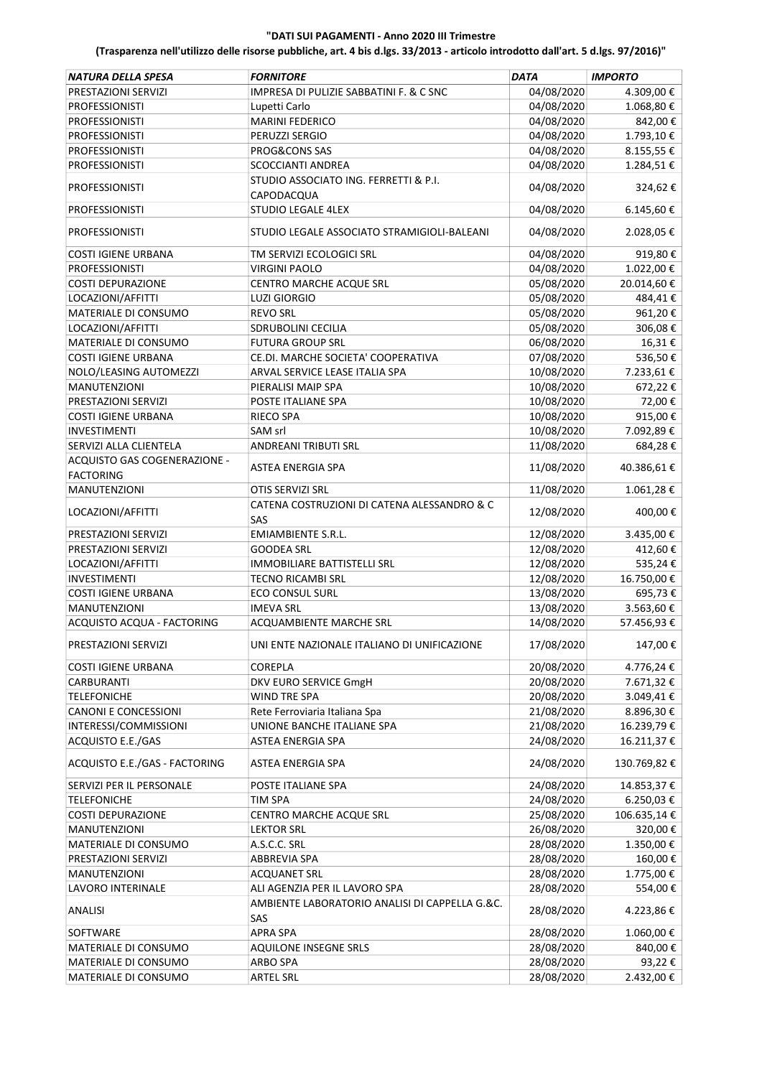| 04/08/2020<br>4.309,00€<br>PRESTAZIONI SERVIZI<br>IMPRESA DI PULIZIE SABBATINI F. & C SNC<br>04/08/2020<br>1.068,80€<br><b>PROFESSIONISTI</b><br>Lupetti Carlo<br>04/08/2020<br>MARINI FEDERICO<br>842,00€<br><b>PROFESSIONISTI</b><br>04/08/2020<br>1.793,10€<br><b>PROFESSIONISTI</b><br>PERUZZI SERGIO<br>04/08/2020<br>PROG&CONS SAS<br>8.155,55€<br><b>PROFESSIONISTI</b><br>04/08/2020<br><b>SCOCCIANTI ANDREA</b><br>1.284,51€<br><b>PROFESSIONISTI</b><br>STUDIO ASSOCIATO ING. FERRETTI & P.I.<br>04/08/2020<br>324,62€<br><b>PROFESSIONISTI</b><br>CAPODACQUA<br><b>PROFESSIONISTI</b><br>STUDIO LEGALE 4LEX<br>04/08/2020<br>6.145,60€<br>04/08/2020<br>2.028,05€<br><b>PROFESSIONISTI</b><br>STUDIO LEGALE ASSOCIATO STRAMIGIOLI-BALEANI<br>04/08/2020<br>919,80€<br><b>COSTI IGIENE URBANA</b><br>TM SERVIZI ECOLOGICI SRL<br>04/08/2020<br><b>PROFESSIONISTI</b><br>1.022,00€<br><b>VIRGINI PAOLO</b><br>05/08/2020<br><b>COSTI DEPURAZIONE</b><br>CENTRO MARCHE ACQUE SRL<br>20.014,60€<br>05/08/2020<br>LOCAZIONI/AFFITTI<br>484,41€<br><b>LUZI GIORGIO</b><br>MATERIALE DI CONSUMO<br>05/08/2020<br>961,20€<br><b>REVO SRL</b><br>05/08/2020<br>LOCAZIONI/AFFITTI<br>306,08€<br>SDRUBOLINI CECILIA<br>06/08/2020<br>16,31€<br>MATERIALE DI CONSUMO<br><b>FUTURA GROUP SRL</b><br>07/08/2020<br>536,50€<br><b>COSTI IGIENE URBANA</b><br>CE.DI. MARCHE SOCIETA' COOPERATIVA<br>10/08/2020<br>NOLO/LEASING AUTOMEZZI<br>ARVAL SERVICE LEASE ITALIA SPA<br>7.233,61€<br>10/08/2020<br>672,22€<br>MANUTENZIONI<br>PIERALISI MAIP SPA<br>PRESTAZIONI SERVIZI<br>POSTE ITALIANE SPA<br>10/08/2020<br>72,00€<br><b>COSTI IGIENE URBANA</b><br>10/08/2020<br>915,00€<br>RIECO SPA<br>10/08/2020<br><b>INVESTIMENTI</b><br>SAM srl<br>7.092,89€<br>11/08/2020<br>SERVIZI ALLA CLIENTELA<br><b>ANDREANI TRIBUTI SRL</b><br>684,28€<br>ACQUISTO GAS COGENERAZIONE -<br>11/08/2020<br>40.386,61€<br>ASTEA ENERGIA SPA<br><b>FACTORING</b><br>11/08/2020<br>1.061,28€<br><b>MANUTENZIONI</b><br>OTIS SERVIZI SRL<br>CATENA COSTRUZIONI DI CATENA ALESSANDRO & C<br>12/08/2020<br>400,00€<br>LOCAZIONI/AFFITTI<br>SAS<br><b>EMIAMBIENTE S.R.L.</b><br>PRESTAZIONI SERVIZI<br>12/08/2020<br>3.435,00€<br>PRESTAZIONI SERVIZI<br>12/08/2020<br>412,60€<br><b>GOODEA SRL</b><br>12/08/2020<br>LOCAZIONI/AFFITTI<br>IMMOBILIARE BATTISTELLI SRL<br>535,24€<br><b>INVESTIMENTI</b><br>12/08/2020<br>16.750,00€<br><b>TECNO RICAMBI SRL</b><br>13/08/2020<br><b>COSTI IGIENE URBANA</b><br><b>ECO CONSUL SURL</b><br>695,73€<br>13/08/2020<br>MANUTENZIONI<br><b>IMEVA SRL</b><br>3.563,60€<br>ACQUISTO ACQUA - FACTORING<br>ACQUAMBIENTE MARCHE SRL<br>14/08/2020<br>57.456,93€<br>PRESTAZIONI SERVIZI<br>UNI ENTE NAZIONALE ITALIANO DI UNIFICAZIONE<br>17/08/2020<br>147,00€<br><b>COREPLA</b><br>20/08/2020<br>4.776,24€<br><b>COSTI IGIENE URBANA</b><br>20/08/2020<br>7.671,32€<br><b>CARBURANTI</b><br>DKV EURO SERVICE GmgH<br>20/08/2020<br>WIND TRE SPA<br>3.049,41€<br><b>TELEFONICHE</b><br>21/08/2020<br>Rete Ferroviaria Italiana Spa<br>8.896,30€<br><b>CANONI E CONCESSIONI</b><br>21/08/2020<br>INTERESSI/COMMISSIONI<br>UNIONE BANCHE ITALIANE SPA<br>16.239,79€<br>24/08/2020<br>16.211,37€<br>ACQUISTO E.E./GAS<br>ASTEA ENERGIA SPA<br>ACQUISTO E.E./GAS - FACTORING<br>24/08/2020<br>130.769,82€<br>ASTEA ENERGIA SPA<br>24/08/2020<br>SERVIZI PER IL PERSONALE<br>POSTE ITALIANE SPA<br>14.853,37 €<br>24/08/2020<br><b>TELEFONICHE</b><br>TIM SPA<br>6.250,03 €<br><b>COSTI DEPURAZIONE</b><br>25/08/2020<br>106.635,14€<br>CENTRO MARCHE ACQUE SRL<br><b>MANUTENZIONI</b><br><b>LEKTOR SRL</b><br>26/08/2020<br>320,00€<br>28/08/2020<br>MATERIALE DI CONSUMO<br>A.S.C.C. SRL<br>1.350,00 €<br>28/08/2020<br>PRESTAZIONI SERVIZI<br>ABBREVIA SPA<br>160,00€<br>28/08/2020<br>1.775,00€<br>MANUTENZIONI<br><b>ACQUANET SRL</b><br>28/08/2020<br>LAVORO INTERINALE<br>ALI AGENZIA PER IL LAVORO SPA<br>554,00€<br>AMBIENTE LABORATORIO ANALISI DI CAPPELLA G.&C.<br>ANALISI<br>28/08/2020<br>4.223,86€<br>SAS<br><b>APRA SPA</b><br>28/08/2020<br>SOFTWARE<br>1.060,00€<br>28/08/2020<br>MATERIALE DI CONSUMO<br>AQUILONE INSEGNE SRLS<br>840,00€<br>28/08/2020<br>93,22€<br>MATERIALE DI CONSUMO<br>ARBO SPA<br>28/08/2020<br><b>ARTEL SRL</b><br>2.432,00 €<br>MATERIALE DI CONSUMO | NATURA DELLA SPESA | <b>FORNITORE</b> | DATA | <b>IMPORTO</b> |
|-----------------------------------------------------------------------------------------------------------------------------------------------------------------------------------------------------------------------------------------------------------------------------------------------------------------------------------------------------------------------------------------------------------------------------------------------------------------------------------------------------------------------------------------------------------------------------------------------------------------------------------------------------------------------------------------------------------------------------------------------------------------------------------------------------------------------------------------------------------------------------------------------------------------------------------------------------------------------------------------------------------------------------------------------------------------------------------------------------------------------------------------------------------------------------------------------------------------------------------------------------------------------------------------------------------------------------------------------------------------------------------------------------------------------------------------------------------------------------------------------------------------------------------------------------------------------------------------------------------------------------------------------------------------------------------------------------------------------------------------------------------------------------------------------------------------------------------------------------------------------------------------------------------------------------------------------------------------------------------------------------------------------------------------------------------------------------------------------------------------------------------------------------------------------------------------------------------------------------------------------------------------------------------------------------------------------------------------------------------------------------------------------------------------------------------------------------------------------------------------------------------------------------------------------------------------------------------------------------------------------------------------------------------------------------------------------------------------------------------------------------------------------------------------------------------------------------------------------------------------------------------------------------------------------------------------------------------------------------------------------------------------------------------------------------------------------------------------------------------------------------------------------------------------------------------------------------------------------------------------------------------------------------------------------------------------------------------------------------------------------------------------------------------------------------------------------------------------------------------------------------------------------------------------------------------------------------------------------------------------------------------------------------------------------------------------------------------------------------------------------------------------------------------------------------------------------------------------------------------------------------------------------------------------------------------------------------------------------------------------------------------------------------------------------------------------------------------------------------------------------------------------------------------------------------------------------------------------------------------------------------------------------------------------------------------|--------------------|------------------|------|----------------|
|                                                                                                                                                                                                                                                                                                                                                                                                                                                                                                                                                                                                                                                                                                                                                                                                                                                                                                                                                                                                                                                                                                                                                                                                                                                                                                                                                                                                                                                                                                                                                                                                                                                                                                                                                                                                                                                                                                                                                                                                                                                                                                                                                                                                                                                                                                                                                                                                                                                                                                                                                                                                                                                                                                                                                                                                                                                                                                                                                                                                                                                                                                                                                                                                                                                                                                                                                                                                                                                                                                                                                                                                                                                                                                                                                                                                                                                                                                                                                                                                                                                                                                                                                                                                                                                                                                           |                    |                  |      |                |
|                                                                                                                                                                                                                                                                                                                                                                                                                                                                                                                                                                                                                                                                                                                                                                                                                                                                                                                                                                                                                                                                                                                                                                                                                                                                                                                                                                                                                                                                                                                                                                                                                                                                                                                                                                                                                                                                                                                                                                                                                                                                                                                                                                                                                                                                                                                                                                                                                                                                                                                                                                                                                                                                                                                                                                                                                                                                                                                                                                                                                                                                                                                                                                                                                                                                                                                                                                                                                                                                                                                                                                                                                                                                                                                                                                                                                                                                                                                                                                                                                                                                                                                                                                                                                                                                                                           |                    |                  |      |                |
|                                                                                                                                                                                                                                                                                                                                                                                                                                                                                                                                                                                                                                                                                                                                                                                                                                                                                                                                                                                                                                                                                                                                                                                                                                                                                                                                                                                                                                                                                                                                                                                                                                                                                                                                                                                                                                                                                                                                                                                                                                                                                                                                                                                                                                                                                                                                                                                                                                                                                                                                                                                                                                                                                                                                                                                                                                                                                                                                                                                                                                                                                                                                                                                                                                                                                                                                                                                                                                                                                                                                                                                                                                                                                                                                                                                                                                                                                                                                                                                                                                                                                                                                                                                                                                                                                                           |                    |                  |      |                |
|                                                                                                                                                                                                                                                                                                                                                                                                                                                                                                                                                                                                                                                                                                                                                                                                                                                                                                                                                                                                                                                                                                                                                                                                                                                                                                                                                                                                                                                                                                                                                                                                                                                                                                                                                                                                                                                                                                                                                                                                                                                                                                                                                                                                                                                                                                                                                                                                                                                                                                                                                                                                                                                                                                                                                                                                                                                                                                                                                                                                                                                                                                                                                                                                                                                                                                                                                                                                                                                                                                                                                                                                                                                                                                                                                                                                                                                                                                                                                                                                                                                                                                                                                                                                                                                                                                           |                    |                  |      |                |
|                                                                                                                                                                                                                                                                                                                                                                                                                                                                                                                                                                                                                                                                                                                                                                                                                                                                                                                                                                                                                                                                                                                                                                                                                                                                                                                                                                                                                                                                                                                                                                                                                                                                                                                                                                                                                                                                                                                                                                                                                                                                                                                                                                                                                                                                                                                                                                                                                                                                                                                                                                                                                                                                                                                                                                                                                                                                                                                                                                                                                                                                                                                                                                                                                                                                                                                                                                                                                                                                                                                                                                                                                                                                                                                                                                                                                                                                                                                                                                                                                                                                                                                                                                                                                                                                                                           |                    |                  |      |                |
|                                                                                                                                                                                                                                                                                                                                                                                                                                                                                                                                                                                                                                                                                                                                                                                                                                                                                                                                                                                                                                                                                                                                                                                                                                                                                                                                                                                                                                                                                                                                                                                                                                                                                                                                                                                                                                                                                                                                                                                                                                                                                                                                                                                                                                                                                                                                                                                                                                                                                                                                                                                                                                                                                                                                                                                                                                                                                                                                                                                                                                                                                                                                                                                                                                                                                                                                                                                                                                                                                                                                                                                                                                                                                                                                                                                                                                                                                                                                                                                                                                                                                                                                                                                                                                                                                                           |                    |                  |      |                |
|                                                                                                                                                                                                                                                                                                                                                                                                                                                                                                                                                                                                                                                                                                                                                                                                                                                                                                                                                                                                                                                                                                                                                                                                                                                                                                                                                                                                                                                                                                                                                                                                                                                                                                                                                                                                                                                                                                                                                                                                                                                                                                                                                                                                                                                                                                                                                                                                                                                                                                                                                                                                                                                                                                                                                                                                                                                                                                                                                                                                                                                                                                                                                                                                                                                                                                                                                                                                                                                                                                                                                                                                                                                                                                                                                                                                                                                                                                                                                                                                                                                                                                                                                                                                                                                                                                           |                    |                  |      |                |
|                                                                                                                                                                                                                                                                                                                                                                                                                                                                                                                                                                                                                                                                                                                                                                                                                                                                                                                                                                                                                                                                                                                                                                                                                                                                                                                                                                                                                                                                                                                                                                                                                                                                                                                                                                                                                                                                                                                                                                                                                                                                                                                                                                                                                                                                                                                                                                                                                                                                                                                                                                                                                                                                                                                                                                                                                                                                                                                                                                                                                                                                                                                                                                                                                                                                                                                                                                                                                                                                                                                                                                                                                                                                                                                                                                                                                                                                                                                                                                                                                                                                                                                                                                                                                                                                                                           |                    |                  |      |                |
|                                                                                                                                                                                                                                                                                                                                                                                                                                                                                                                                                                                                                                                                                                                                                                                                                                                                                                                                                                                                                                                                                                                                                                                                                                                                                                                                                                                                                                                                                                                                                                                                                                                                                                                                                                                                                                                                                                                                                                                                                                                                                                                                                                                                                                                                                                                                                                                                                                                                                                                                                                                                                                                                                                                                                                                                                                                                                                                                                                                                                                                                                                                                                                                                                                                                                                                                                                                                                                                                                                                                                                                                                                                                                                                                                                                                                                                                                                                                                                                                                                                                                                                                                                                                                                                                                                           |                    |                  |      |                |
|                                                                                                                                                                                                                                                                                                                                                                                                                                                                                                                                                                                                                                                                                                                                                                                                                                                                                                                                                                                                                                                                                                                                                                                                                                                                                                                                                                                                                                                                                                                                                                                                                                                                                                                                                                                                                                                                                                                                                                                                                                                                                                                                                                                                                                                                                                                                                                                                                                                                                                                                                                                                                                                                                                                                                                                                                                                                                                                                                                                                                                                                                                                                                                                                                                                                                                                                                                                                                                                                                                                                                                                                                                                                                                                                                                                                                                                                                                                                                                                                                                                                                                                                                                                                                                                                                                           |                    |                  |      |                |
|                                                                                                                                                                                                                                                                                                                                                                                                                                                                                                                                                                                                                                                                                                                                                                                                                                                                                                                                                                                                                                                                                                                                                                                                                                                                                                                                                                                                                                                                                                                                                                                                                                                                                                                                                                                                                                                                                                                                                                                                                                                                                                                                                                                                                                                                                                                                                                                                                                                                                                                                                                                                                                                                                                                                                                                                                                                                                                                                                                                                                                                                                                                                                                                                                                                                                                                                                                                                                                                                                                                                                                                                                                                                                                                                                                                                                                                                                                                                                                                                                                                                                                                                                                                                                                                                                                           |                    |                  |      |                |
|                                                                                                                                                                                                                                                                                                                                                                                                                                                                                                                                                                                                                                                                                                                                                                                                                                                                                                                                                                                                                                                                                                                                                                                                                                                                                                                                                                                                                                                                                                                                                                                                                                                                                                                                                                                                                                                                                                                                                                                                                                                                                                                                                                                                                                                                                                                                                                                                                                                                                                                                                                                                                                                                                                                                                                                                                                                                                                                                                                                                                                                                                                                                                                                                                                                                                                                                                                                                                                                                                                                                                                                                                                                                                                                                                                                                                                                                                                                                                                                                                                                                                                                                                                                                                                                                                                           |                    |                  |      |                |
|                                                                                                                                                                                                                                                                                                                                                                                                                                                                                                                                                                                                                                                                                                                                                                                                                                                                                                                                                                                                                                                                                                                                                                                                                                                                                                                                                                                                                                                                                                                                                                                                                                                                                                                                                                                                                                                                                                                                                                                                                                                                                                                                                                                                                                                                                                                                                                                                                                                                                                                                                                                                                                                                                                                                                                                                                                                                                                                                                                                                                                                                                                                                                                                                                                                                                                                                                                                                                                                                                                                                                                                                                                                                                                                                                                                                                                                                                                                                                                                                                                                                                                                                                                                                                                                                                                           |                    |                  |      |                |
|                                                                                                                                                                                                                                                                                                                                                                                                                                                                                                                                                                                                                                                                                                                                                                                                                                                                                                                                                                                                                                                                                                                                                                                                                                                                                                                                                                                                                                                                                                                                                                                                                                                                                                                                                                                                                                                                                                                                                                                                                                                                                                                                                                                                                                                                                                                                                                                                                                                                                                                                                                                                                                                                                                                                                                                                                                                                                                                                                                                                                                                                                                                                                                                                                                                                                                                                                                                                                                                                                                                                                                                                                                                                                                                                                                                                                                                                                                                                                                                                                                                                                                                                                                                                                                                                                                           |                    |                  |      |                |
|                                                                                                                                                                                                                                                                                                                                                                                                                                                                                                                                                                                                                                                                                                                                                                                                                                                                                                                                                                                                                                                                                                                                                                                                                                                                                                                                                                                                                                                                                                                                                                                                                                                                                                                                                                                                                                                                                                                                                                                                                                                                                                                                                                                                                                                                                                                                                                                                                                                                                                                                                                                                                                                                                                                                                                                                                                                                                                                                                                                                                                                                                                                                                                                                                                                                                                                                                                                                                                                                                                                                                                                                                                                                                                                                                                                                                                                                                                                                                                                                                                                                                                                                                                                                                                                                                                           |                    |                  |      |                |
|                                                                                                                                                                                                                                                                                                                                                                                                                                                                                                                                                                                                                                                                                                                                                                                                                                                                                                                                                                                                                                                                                                                                                                                                                                                                                                                                                                                                                                                                                                                                                                                                                                                                                                                                                                                                                                                                                                                                                                                                                                                                                                                                                                                                                                                                                                                                                                                                                                                                                                                                                                                                                                                                                                                                                                                                                                                                                                                                                                                                                                                                                                                                                                                                                                                                                                                                                                                                                                                                                                                                                                                                                                                                                                                                                                                                                                                                                                                                                                                                                                                                                                                                                                                                                                                                                                           |                    |                  |      |                |
|                                                                                                                                                                                                                                                                                                                                                                                                                                                                                                                                                                                                                                                                                                                                                                                                                                                                                                                                                                                                                                                                                                                                                                                                                                                                                                                                                                                                                                                                                                                                                                                                                                                                                                                                                                                                                                                                                                                                                                                                                                                                                                                                                                                                                                                                                                                                                                                                                                                                                                                                                                                                                                                                                                                                                                                                                                                                                                                                                                                                                                                                                                                                                                                                                                                                                                                                                                                                                                                                                                                                                                                                                                                                                                                                                                                                                                                                                                                                                                                                                                                                                                                                                                                                                                                                                                           |                    |                  |      |                |
|                                                                                                                                                                                                                                                                                                                                                                                                                                                                                                                                                                                                                                                                                                                                                                                                                                                                                                                                                                                                                                                                                                                                                                                                                                                                                                                                                                                                                                                                                                                                                                                                                                                                                                                                                                                                                                                                                                                                                                                                                                                                                                                                                                                                                                                                                                                                                                                                                                                                                                                                                                                                                                                                                                                                                                                                                                                                                                                                                                                                                                                                                                                                                                                                                                                                                                                                                                                                                                                                                                                                                                                                                                                                                                                                                                                                                                                                                                                                                                                                                                                                                                                                                                                                                                                                                                           |                    |                  |      |                |
|                                                                                                                                                                                                                                                                                                                                                                                                                                                                                                                                                                                                                                                                                                                                                                                                                                                                                                                                                                                                                                                                                                                                                                                                                                                                                                                                                                                                                                                                                                                                                                                                                                                                                                                                                                                                                                                                                                                                                                                                                                                                                                                                                                                                                                                                                                                                                                                                                                                                                                                                                                                                                                                                                                                                                                                                                                                                                                                                                                                                                                                                                                                                                                                                                                                                                                                                                                                                                                                                                                                                                                                                                                                                                                                                                                                                                                                                                                                                                                                                                                                                                                                                                                                                                                                                                                           |                    |                  |      |                |
|                                                                                                                                                                                                                                                                                                                                                                                                                                                                                                                                                                                                                                                                                                                                                                                                                                                                                                                                                                                                                                                                                                                                                                                                                                                                                                                                                                                                                                                                                                                                                                                                                                                                                                                                                                                                                                                                                                                                                                                                                                                                                                                                                                                                                                                                                                                                                                                                                                                                                                                                                                                                                                                                                                                                                                                                                                                                                                                                                                                                                                                                                                                                                                                                                                                                                                                                                                                                                                                                                                                                                                                                                                                                                                                                                                                                                                                                                                                                                                                                                                                                                                                                                                                                                                                                                                           |                    |                  |      |                |
|                                                                                                                                                                                                                                                                                                                                                                                                                                                                                                                                                                                                                                                                                                                                                                                                                                                                                                                                                                                                                                                                                                                                                                                                                                                                                                                                                                                                                                                                                                                                                                                                                                                                                                                                                                                                                                                                                                                                                                                                                                                                                                                                                                                                                                                                                                                                                                                                                                                                                                                                                                                                                                                                                                                                                                                                                                                                                                                                                                                                                                                                                                                                                                                                                                                                                                                                                                                                                                                                                                                                                                                                                                                                                                                                                                                                                                                                                                                                                                                                                                                                                                                                                                                                                                                                                                           |                    |                  |      |                |
|                                                                                                                                                                                                                                                                                                                                                                                                                                                                                                                                                                                                                                                                                                                                                                                                                                                                                                                                                                                                                                                                                                                                                                                                                                                                                                                                                                                                                                                                                                                                                                                                                                                                                                                                                                                                                                                                                                                                                                                                                                                                                                                                                                                                                                                                                                                                                                                                                                                                                                                                                                                                                                                                                                                                                                                                                                                                                                                                                                                                                                                                                                                                                                                                                                                                                                                                                                                                                                                                                                                                                                                                                                                                                                                                                                                                                                                                                                                                                                                                                                                                                                                                                                                                                                                                                                           |                    |                  |      |                |
|                                                                                                                                                                                                                                                                                                                                                                                                                                                                                                                                                                                                                                                                                                                                                                                                                                                                                                                                                                                                                                                                                                                                                                                                                                                                                                                                                                                                                                                                                                                                                                                                                                                                                                                                                                                                                                                                                                                                                                                                                                                                                                                                                                                                                                                                                                                                                                                                                                                                                                                                                                                                                                                                                                                                                                                                                                                                                                                                                                                                                                                                                                                                                                                                                                                                                                                                                                                                                                                                                                                                                                                                                                                                                                                                                                                                                                                                                                                                                                                                                                                                                                                                                                                                                                                                                                           |                    |                  |      |                |
|                                                                                                                                                                                                                                                                                                                                                                                                                                                                                                                                                                                                                                                                                                                                                                                                                                                                                                                                                                                                                                                                                                                                                                                                                                                                                                                                                                                                                                                                                                                                                                                                                                                                                                                                                                                                                                                                                                                                                                                                                                                                                                                                                                                                                                                                                                                                                                                                                                                                                                                                                                                                                                                                                                                                                                                                                                                                                                                                                                                                                                                                                                                                                                                                                                                                                                                                                                                                                                                                                                                                                                                                                                                                                                                                                                                                                                                                                                                                                                                                                                                                                                                                                                                                                                                                                                           |                    |                  |      |                |
|                                                                                                                                                                                                                                                                                                                                                                                                                                                                                                                                                                                                                                                                                                                                                                                                                                                                                                                                                                                                                                                                                                                                                                                                                                                                                                                                                                                                                                                                                                                                                                                                                                                                                                                                                                                                                                                                                                                                                                                                                                                                                                                                                                                                                                                                                                                                                                                                                                                                                                                                                                                                                                                                                                                                                                                                                                                                                                                                                                                                                                                                                                                                                                                                                                                                                                                                                                                                                                                                                                                                                                                                                                                                                                                                                                                                                                                                                                                                                                                                                                                                                                                                                                                                                                                                                                           |                    |                  |      |                |
|                                                                                                                                                                                                                                                                                                                                                                                                                                                                                                                                                                                                                                                                                                                                                                                                                                                                                                                                                                                                                                                                                                                                                                                                                                                                                                                                                                                                                                                                                                                                                                                                                                                                                                                                                                                                                                                                                                                                                                                                                                                                                                                                                                                                                                                                                                                                                                                                                                                                                                                                                                                                                                                                                                                                                                                                                                                                                                                                                                                                                                                                                                                                                                                                                                                                                                                                                                                                                                                                                                                                                                                                                                                                                                                                                                                                                                                                                                                                                                                                                                                                                                                                                                                                                                                                                                           |                    |                  |      |                |
|                                                                                                                                                                                                                                                                                                                                                                                                                                                                                                                                                                                                                                                                                                                                                                                                                                                                                                                                                                                                                                                                                                                                                                                                                                                                                                                                                                                                                                                                                                                                                                                                                                                                                                                                                                                                                                                                                                                                                                                                                                                                                                                                                                                                                                                                                                                                                                                                                                                                                                                                                                                                                                                                                                                                                                                                                                                                                                                                                                                                                                                                                                                                                                                                                                                                                                                                                                                                                                                                                                                                                                                                                                                                                                                                                                                                                                                                                                                                                                                                                                                                                                                                                                                                                                                                                                           |                    |                  |      |                |
|                                                                                                                                                                                                                                                                                                                                                                                                                                                                                                                                                                                                                                                                                                                                                                                                                                                                                                                                                                                                                                                                                                                                                                                                                                                                                                                                                                                                                                                                                                                                                                                                                                                                                                                                                                                                                                                                                                                                                                                                                                                                                                                                                                                                                                                                                                                                                                                                                                                                                                                                                                                                                                                                                                                                                                                                                                                                                                                                                                                                                                                                                                                                                                                                                                                                                                                                                                                                                                                                                                                                                                                                                                                                                                                                                                                                                                                                                                                                                                                                                                                                                                                                                                                                                                                                                                           |                    |                  |      |                |
|                                                                                                                                                                                                                                                                                                                                                                                                                                                                                                                                                                                                                                                                                                                                                                                                                                                                                                                                                                                                                                                                                                                                                                                                                                                                                                                                                                                                                                                                                                                                                                                                                                                                                                                                                                                                                                                                                                                                                                                                                                                                                                                                                                                                                                                                                                                                                                                                                                                                                                                                                                                                                                                                                                                                                                                                                                                                                                                                                                                                                                                                                                                                                                                                                                                                                                                                                                                                                                                                                                                                                                                                                                                                                                                                                                                                                                                                                                                                                                                                                                                                                                                                                                                                                                                                                                           |                    |                  |      |                |
|                                                                                                                                                                                                                                                                                                                                                                                                                                                                                                                                                                                                                                                                                                                                                                                                                                                                                                                                                                                                                                                                                                                                                                                                                                                                                                                                                                                                                                                                                                                                                                                                                                                                                                                                                                                                                                                                                                                                                                                                                                                                                                                                                                                                                                                                                                                                                                                                                                                                                                                                                                                                                                                                                                                                                                                                                                                                                                                                                                                                                                                                                                                                                                                                                                                                                                                                                                                                                                                                                                                                                                                                                                                                                                                                                                                                                                                                                                                                                                                                                                                                                                                                                                                                                                                                                                           |                    |                  |      |                |
|                                                                                                                                                                                                                                                                                                                                                                                                                                                                                                                                                                                                                                                                                                                                                                                                                                                                                                                                                                                                                                                                                                                                                                                                                                                                                                                                                                                                                                                                                                                                                                                                                                                                                                                                                                                                                                                                                                                                                                                                                                                                                                                                                                                                                                                                                                                                                                                                                                                                                                                                                                                                                                                                                                                                                                                                                                                                                                                                                                                                                                                                                                                                                                                                                                                                                                                                                                                                                                                                                                                                                                                                                                                                                                                                                                                                                                                                                                                                                                                                                                                                                                                                                                                                                                                                                                           |                    |                  |      |                |
|                                                                                                                                                                                                                                                                                                                                                                                                                                                                                                                                                                                                                                                                                                                                                                                                                                                                                                                                                                                                                                                                                                                                                                                                                                                                                                                                                                                                                                                                                                                                                                                                                                                                                                                                                                                                                                                                                                                                                                                                                                                                                                                                                                                                                                                                                                                                                                                                                                                                                                                                                                                                                                                                                                                                                                                                                                                                                                                                                                                                                                                                                                                                                                                                                                                                                                                                                                                                                                                                                                                                                                                                                                                                                                                                                                                                                                                                                                                                                                                                                                                                                                                                                                                                                                                                                                           |                    |                  |      |                |
|                                                                                                                                                                                                                                                                                                                                                                                                                                                                                                                                                                                                                                                                                                                                                                                                                                                                                                                                                                                                                                                                                                                                                                                                                                                                                                                                                                                                                                                                                                                                                                                                                                                                                                                                                                                                                                                                                                                                                                                                                                                                                                                                                                                                                                                                                                                                                                                                                                                                                                                                                                                                                                                                                                                                                                                                                                                                                                                                                                                                                                                                                                                                                                                                                                                                                                                                                                                                                                                                                                                                                                                                                                                                                                                                                                                                                                                                                                                                                                                                                                                                                                                                                                                                                                                                                                           |                    |                  |      |                |
|                                                                                                                                                                                                                                                                                                                                                                                                                                                                                                                                                                                                                                                                                                                                                                                                                                                                                                                                                                                                                                                                                                                                                                                                                                                                                                                                                                                                                                                                                                                                                                                                                                                                                                                                                                                                                                                                                                                                                                                                                                                                                                                                                                                                                                                                                                                                                                                                                                                                                                                                                                                                                                                                                                                                                                                                                                                                                                                                                                                                                                                                                                                                                                                                                                                                                                                                                                                                                                                                                                                                                                                                                                                                                                                                                                                                                                                                                                                                                                                                                                                                                                                                                                                                                                                                                                           |                    |                  |      |                |
|                                                                                                                                                                                                                                                                                                                                                                                                                                                                                                                                                                                                                                                                                                                                                                                                                                                                                                                                                                                                                                                                                                                                                                                                                                                                                                                                                                                                                                                                                                                                                                                                                                                                                                                                                                                                                                                                                                                                                                                                                                                                                                                                                                                                                                                                                                                                                                                                                                                                                                                                                                                                                                                                                                                                                                                                                                                                                                                                                                                                                                                                                                                                                                                                                                                                                                                                                                                                                                                                                                                                                                                                                                                                                                                                                                                                                                                                                                                                                                                                                                                                                                                                                                                                                                                                                                           |                    |                  |      |                |
|                                                                                                                                                                                                                                                                                                                                                                                                                                                                                                                                                                                                                                                                                                                                                                                                                                                                                                                                                                                                                                                                                                                                                                                                                                                                                                                                                                                                                                                                                                                                                                                                                                                                                                                                                                                                                                                                                                                                                                                                                                                                                                                                                                                                                                                                                                                                                                                                                                                                                                                                                                                                                                                                                                                                                                                                                                                                                                                                                                                                                                                                                                                                                                                                                                                                                                                                                                                                                                                                                                                                                                                                                                                                                                                                                                                                                                                                                                                                                                                                                                                                                                                                                                                                                                                                                                           |                    |                  |      |                |
|                                                                                                                                                                                                                                                                                                                                                                                                                                                                                                                                                                                                                                                                                                                                                                                                                                                                                                                                                                                                                                                                                                                                                                                                                                                                                                                                                                                                                                                                                                                                                                                                                                                                                                                                                                                                                                                                                                                                                                                                                                                                                                                                                                                                                                                                                                                                                                                                                                                                                                                                                                                                                                                                                                                                                                                                                                                                                                                                                                                                                                                                                                                                                                                                                                                                                                                                                                                                                                                                                                                                                                                                                                                                                                                                                                                                                                                                                                                                                                                                                                                                                                                                                                                                                                                                                                           |                    |                  |      |                |
|                                                                                                                                                                                                                                                                                                                                                                                                                                                                                                                                                                                                                                                                                                                                                                                                                                                                                                                                                                                                                                                                                                                                                                                                                                                                                                                                                                                                                                                                                                                                                                                                                                                                                                                                                                                                                                                                                                                                                                                                                                                                                                                                                                                                                                                                                                                                                                                                                                                                                                                                                                                                                                                                                                                                                                                                                                                                                                                                                                                                                                                                                                                                                                                                                                                                                                                                                                                                                                                                                                                                                                                                                                                                                                                                                                                                                                                                                                                                                                                                                                                                                                                                                                                                                                                                                                           |                    |                  |      |                |
|                                                                                                                                                                                                                                                                                                                                                                                                                                                                                                                                                                                                                                                                                                                                                                                                                                                                                                                                                                                                                                                                                                                                                                                                                                                                                                                                                                                                                                                                                                                                                                                                                                                                                                                                                                                                                                                                                                                                                                                                                                                                                                                                                                                                                                                                                                                                                                                                                                                                                                                                                                                                                                                                                                                                                                                                                                                                                                                                                                                                                                                                                                                                                                                                                                                                                                                                                                                                                                                                                                                                                                                                                                                                                                                                                                                                                                                                                                                                                                                                                                                                                                                                                                                                                                                                                                           |                    |                  |      |                |
|                                                                                                                                                                                                                                                                                                                                                                                                                                                                                                                                                                                                                                                                                                                                                                                                                                                                                                                                                                                                                                                                                                                                                                                                                                                                                                                                                                                                                                                                                                                                                                                                                                                                                                                                                                                                                                                                                                                                                                                                                                                                                                                                                                                                                                                                                                                                                                                                                                                                                                                                                                                                                                                                                                                                                                                                                                                                                                                                                                                                                                                                                                                                                                                                                                                                                                                                                                                                                                                                                                                                                                                                                                                                                                                                                                                                                                                                                                                                                                                                                                                                                                                                                                                                                                                                                                           |                    |                  |      |                |
|                                                                                                                                                                                                                                                                                                                                                                                                                                                                                                                                                                                                                                                                                                                                                                                                                                                                                                                                                                                                                                                                                                                                                                                                                                                                                                                                                                                                                                                                                                                                                                                                                                                                                                                                                                                                                                                                                                                                                                                                                                                                                                                                                                                                                                                                                                                                                                                                                                                                                                                                                                                                                                                                                                                                                                                                                                                                                                                                                                                                                                                                                                                                                                                                                                                                                                                                                                                                                                                                                                                                                                                                                                                                                                                                                                                                                                                                                                                                                                                                                                                                                                                                                                                                                                                                                                           |                    |                  |      |                |
|                                                                                                                                                                                                                                                                                                                                                                                                                                                                                                                                                                                                                                                                                                                                                                                                                                                                                                                                                                                                                                                                                                                                                                                                                                                                                                                                                                                                                                                                                                                                                                                                                                                                                                                                                                                                                                                                                                                                                                                                                                                                                                                                                                                                                                                                                                                                                                                                                                                                                                                                                                                                                                                                                                                                                                                                                                                                                                                                                                                                                                                                                                                                                                                                                                                                                                                                                                                                                                                                                                                                                                                                                                                                                                                                                                                                                                                                                                                                                                                                                                                                                                                                                                                                                                                                                                           |                    |                  |      |                |
|                                                                                                                                                                                                                                                                                                                                                                                                                                                                                                                                                                                                                                                                                                                                                                                                                                                                                                                                                                                                                                                                                                                                                                                                                                                                                                                                                                                                                                                                                                                                                                                                                                                                                                                                                                                                                                                                                                                                                                                                                                                                                                                                                                                                                                                                                                                                                                                                                                                                                                                                                                                                                                                                                                                                                                                                                                                                                                                                                                                                                                                                                                                                                                                                                                                                                                                                                                                                                                                                                                                                                                                                                                                                                                                                                                                                                                                                                                                                                                                                                                                                                                                                                                                                                                                                                                           |                    |                  |      |                |
|                                                                                                                                                                                                                                                                                                                                                                                                                                                                                                                                                                                                                                                                                                                                                                                                                                                                                                                                                                                                                                                                                                                                                                                                                                                                                                                                                                                                                                                                                                                                                                                                                                                                                                                                                                                                                                                                                                                                                                                                                                                                                                                                                                                                                                                                                                                                                                                                                                                                                                                                                                                                                                                                                                                                                                                                                                                                                                                                                                                                                                                                                                                                                                                                                                                                                                                                                                                                                                                                                                                                                                                                                                                                                                                                                                                                                                                                                                                                                                                                                                                                                                                                                                                                                                                                                                           |                    |                  |      |                |
|                                                                                                                                                                                                                                                                                                                                                                                                                                                                                                                                                                                                                                                                                                                                                                                                                                                                                                                                                                                                                                                                                                                                                                                                                                                                                                                                                                                                                                                                                                                                                                                                                                                                                                                                                                                                                                                                                                                                                                                                                                                                                                                                                                                                                                                                                                                                                                                                                                                                                                                                                                                                                                                                                                                                                                                                                                                                                                                                                                                                                                                                                                                                                                                                                                                                                                                                                                                                                                                                                                                                                                                                                                                                                                                                                                                                                                                                                                                                                                                                                                                                                                                                                                                                                                                                                                           |                    |                  |      |                |
|                                                                                                                                                                                                                                                                                                                                                                                                                                                                                                                                                                                                                                                                                                                                                                                                                                                                                                                                                                                                                                                                                                                                                                                                                                                                                                                                                                                                                                                                                                                                                                                                                                                                                                                                                                                                                                                                                                                                                                                                                                                                                                                                                                                                                                                                                                                                                                                                                                                                                                                                                                                                                                                                                                                                                                                                                                                                                                                                                                                                                                                                                                                                                                                                                                                                                                                                                                                                                                                                                                                                                                                                                                                                                                                                                                                                                                                                                                                                                                                                                                                                                                                                                                                                                                                                                                           |                    |                  |      |                |
|                                                                                                                                                                                                                                                                                                                                                                                                                                                                                                                                                                                                                                                                                                                                                                                                                                                                                                                                                                                                                                                                                                                                                                                                                                                                                                                                                                                                                                                                                                                                                                                                                                                                                                                                                                                                                                                                                                                                                                                                                                                                                                                                                                                                                                                                                                                                                                                                                                                                                                                                                                                                                                                                                                                                                                                                                                                                                                                                                                                                                                                                                                                                                                                                                                                                                                                                                                                                                                                                                                                                                                                                                                                                                                                                                                                                                                                                                                                                                                                                                                                                                                                                                                                                                                                                                                           |                    |                  |      |                |
|                                                                                                                                                                                                                                                                                                                                                                                                                                                                                                                                                                                                                                                                                                                                                                                                                                                                                                                                                                                                                                                                                                                                                                                                                                                                                                                                                                                                                                                                                                                                                                                                                                                                                                                                                                                                                                                                                                                                                                                                                                                                                                                                                                                                                                                                                                                                                                                                                                                                                                                                                                                                                                                                                                                                                                                                                                                                                                                                                                                                                                                                                                                                                                                                                                                                                                                                                                                                                                                                                                                                                                                                                                                                                                                                                                                                                                                                                                                                                                                                                                                                                                                                                                                                                                                                                                           |                    |                  |      |                |
|                                                                                                                                                                                                                                                                                                                                                                                                                                                                                                                                                                                                                                                                                                                                                                                                                                                                                                                                                                                                                                                                                                                                                                                                                                                                                                                                                                                                                                                                                                                                                                                                                                                                                                                                                                                                                                                                                                                                                                                                                                                                                                                                                                                                                                                                                                                                                                                                                                                                                                                                                                                                                                                                                                                                                                                                                                                                                                                                                                                                                                                                                                                                                                                                                                                                                                                                                                                                                                                                                                                                                                                                                                                                                                                                                                                                                                                                                                                                                                                                                                                                                                                                                                                                                                                                                                           |                    |                  |      |                |
|                                                                                                                                                                                                                                                                                                                                                                                                                                                                                                                                                                                                                                                                                                                                                                                                                                                                                                                                                                                                                                                                                                                                                                                                                                                                                                                                                                                                                                                                                                                                                                                                                                                                                                                                                                                                                                                                                                                                                                                                                                                                                                                                                                                                                                                                                                                                                                                                                                                                                                                                                                                                                                                                                                                                                                                                                                                                                                                                                                                                                                                                                                                                                                                                                                                                                                                                                                                                                                                                                                                                                                                                                                                                                                                                                                                                                                                                                                                                                                                                                                                                                                                                                                                                                                                                                                           |                    |                  |      |                |
|                                                                                                                                                                                                                                                                                                                                                                                                                                                                                                                                                                                                                                                                                                                                                                                                                                                                                                                                                                                                                                                                                                                                                                                                                                                                                                                                                                                                                                                                                                                                                                                                                                                                                                                                                                                                                                                                                                                                                                                                                                                                                                                                                                                                                                                                                                                                                                                                                                                                                                                                                                                                                                                                                                                                                                                                                                                                                                                                                                                                                                                                                                                                                                                                                                                                                                                                                                                                                                                                                                                                                                                                                                                                                                                                                                                                                                                                                                                                                                                                                                                                                                                                                                                                                                                                                                           |                    |                  |      |                |
|                                                                                                                                                                                                                                                                                                                                                                                                                                                                                                                                                                                                                                                                                                                                                                                                                                                                                                                                                                                                                                                                                                                                                                                                                                                                                                                                                                                                                                                                                                                                                                                                                                                                                                                                                                                                                                                                                                                                                                                                                                                                                                                                                                                                                                                                                                                                                                                                                                                                                                                                                                                                                                                                                                                                                                                                                                                                                                                                                                                                                                                                                                                                                                                                                                                                                                                                                                                                                                                                                                                                                                                                                                                                                                                                                                                                                                                                                                                                                                                                                                                                                                                                                                                                                                                                                                           |                    |                  |      |                |
|                                                                                                                                                                                                                                                                                                                                                                                                                                                                                                                                                                                                                                                                                                                                                                                                                                                                                                                                                                                                                                                                                                                                                                                                                                                                                                                                                                                                                                                                                                                                                                                                                                                                                                                                                                                                                                                                                                                                                                                                                                                                                                                                                                                                                                                                                                                                                                                                                                                                                                                                                                                                                                                                                                                                                                                                                                                                                                                                                                                                                                                                                                                                                                                                                                                                                                                                                                                                                                                                                                                                                                                                                                                                                                                                                                                                                                                                                                                                                                                                                                                                                                                                                                                                                                                                                                           |                    |                  |      |                |
|                                                                                                                                                                                                                                                                                                                                                                                                                                                                                                                                                                                                                                                                                                                                                                                                                                                                                                                                                                                                                                                                                                                                                                                                                                                                                                                                                                                                                                                                                                                                                                                                                                                                                                                                                                                                                                                                                                                                                                                                                                                                                                                                                                                                                                                                                                                                                                                                                                                                                                                                                                                                                                                                                                                                                                                                                                                                                                                                                                                                                                                                                                                                                                                                                                                                                                                                                                                                                                                                                                                                                                                                                                                                                                                                                                                                                                                                                                                                                                                                                                                                                                                                                                                                                                                                                                           |                    |                  |      |                |
|                                                                                                                                                                                                                                                                                                                                                                                                                                                                                                                                                                                                                                                                                                                                                                                                                                                                                                                                                                                                                                                                                                                                                                                                                                                                                                                                                                                                                                                                                                                                                                                                                                                                                                                                                                                                                                                                                                                                                                                                                                                                                                                                                                                                                                                                                                                                                                                                                                                                                                                                                                                                                                                                                                                                                                                                                                                                                                                                                                                                                                                                                                                                                                                                                                                                                                                                                                                                                                                                                                                                                                                                                                                                                                                                                                                                                                                                                                                                                                                                                                                                                                                                                                                                                                                                                                           |                    |                  |      |                |
|                                                                                                                                                                                                                                                                                                                                                                                                                                                                                                                                                                                                                                                                                                                                                                                                                                                                                                                                                                                                                                                                                                                                                                                                                                                                                                                                                                                                                                                                                                                                                                                                                                                                                                                                                                                                                                                                                                                                                                                                                                                                                                                                                                                                                                                                                                                                                                                                                                                                                                                                                                                                                                                                                                                                                                                                                                                                                                                                                                                                                                                                                                                                                                                                                                                                                                                                                                                                                                                                                                                                                                                                                                                                                                                                                                                                                                                                                                                                                                                                                                                                                                                                                                                                                                                                                                           |                    |                  |      |                |
|                                                                                                                                                                                                                                                                                                                                                                                                                                                                                                                                                                                                                                                                                                                                                                                                                                                                                                                                                                                                                                                                                                                                                                                                                                                                                                                                                                                                                                                                                                                                                                                                                                                                                                                                                                                                                                                                                                                                                                                                                                                                                                                                                                                                                                                                                                                                                                                                                                                                                                                                                                                                                                                                                                                                                                                                                                                                                                                                                                                                                                                                                                                                                                                                                                                                                                                                                                                                                                                                                                                                                                                                                                                                                                                                                                                                                                                                                                                                                                                                                                                                                                                                                                                                                                                                                                           |                    |                  |      |                |
|                                                                                                                                                                                                                                                                                                                                                                                                                                                                                                                                                                                                                                                                                                                                                                                                                                                                                                                                                                                                                                                                                                                                                                                                                                                                                                                                                                                                                                                                                                                                                                                                                                                                                                                                                                                                                                                                                                                                                                                                                                                                                                                                                                                                                                                                                                                                                                                                                                                                                                                                                                                                                                                                                                                                                                                                                                                                                                                                                                                                                                                                                                                                                                                                                                                                                                                                                                                                                                                                                                                                                                                                                                                                                                                                                                                                                                                                                                                                                                                                                                                                                                                                                                                                                                                                                                           |                    |                  |      |                |
|                                                                                                                                                                                                                                                                                                                                                                                                                                                                                                                                                                                                                                                                                                                                                                                                                                                                                                                                                                                                                                                                                                                                                                                                                                                                                                                                                                                                                                                                                                                                                                                                                                                                                                                                                                                                                                                                                                                                                                                                                                                                                                                                                                                                                                                                                                                                                                                                                                                                                                                                                                                                                                                                                                                                                                                                                                                                                                                                                                                                                                                                                                                                                                                                                                                                                                                                                                                                                                                                                                                                                                                                                                                                                                                                                                                                                                                                                                                                                                                                                                                                                                                                                                                                                                                                                                           |                    |                  |      |                |
|                                                                                                                                                                                                                                                                                                                                                                                                                                                                                                                                                                                                                                                                                                                                                                                                                                                                                                                                                                                                                                                                                                                                                                                                                                                                                                                                                                                                                                                                                                                                                                                                                                                                                                                                                                                                                                                                                                                                                                                                                                                                                                                                                                                                                                                                                                                                                                                                                                                                                                                                                                                                                                                                                                                                                                                                                                                                                                                                                                                                                                                                                                                                                                                                                                                                                                                                                                                                                                                                                                                                                                                                                                                                                                                                                                                                                                                                                                                                                                                                                                                                                                                                                                                                                                                                                                           |                    |                  |      |                |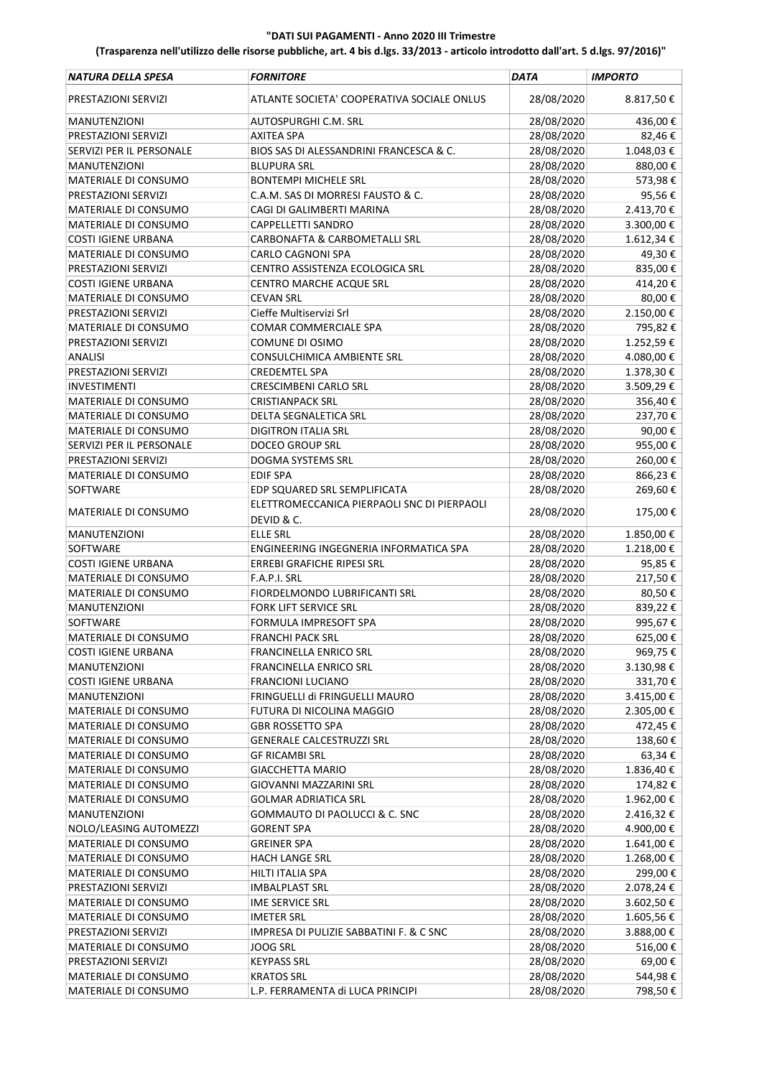| NATURA DELLA SPESA         | <b>FORNITORE</b>                                          | <b>DATA</b> | <b>IMPORTO</b> |
|----------------------------|-----------------------------------------------------------|-------------|----------------|
| PRESTAZIONI SERVIZI        | ATLANTE SOCIETA' COOPERATIVA SOCIALE ONLUS                | 28/08/2020  | 8.817,50€      |
| MANUTENZIONI               | AUTOSPURGHI C.M. SRL                                      | 28/08/2020  | 436,00€        |
| PRESTAZIONI SERVIZI        | <b>AXITEA SPA</b>                                         | 28/08/2020  | 82,46€         |
| SERVIZI PER IL PERSONALE   | BIOS SAS DI ALESSANDRINI FRANCESCA & C.                   | 28/08/2020  | 1.048,03€      |
| <b>MANUTENZIONI</b>        | <b>BLUPURA SRL</b>                                        | 28/08/2020  | 880,00€        |
| MATERIALE DI CONSUMO       | <b>BONTEMPI MICHELE SRL</b>                               | 28/08/2020  | 573,98€        |
| PRESTAZIONI SERVIZI        | C.A.M. SAS DI MORRESI FAUSTO & C.                         | 28/08/2020  | 95,56€         |
| MATERIALE DI CONSUMO       | CAGI DI GALIMBERTI MARINA                                 | 28/08/2020  | 2.413,70€      |
| MATERIALE DI CONSUMO       | CAPPELLETTI SANDRO                                        | 28/08/2020  | 3.300,00€      |
| <b>COSTI IGIENE URBANA</b> | <b>CARBONAFTA &amp; CARBOMETALLI SRL</b>                  | 28/08/2020  | 1.612,34 €     |
| MATERIALE DI CONSUMO       | <b>CARLO CAGNONI SPA</b>                                  | 28/08/2020  | 49,30€         |
| PRESTAZIONI SERVIZI        | CENTRO ASSISTENZA ECOLOGICA SRL                           | 28/08/2020  | 835,00€        |
| <b>COSTI IGIENE URBANA</b> | CENTRO MARCHE ACQUE SRL                                   | 28/08/2020  | 414,20€        |
| MATERIALE DI CONSUMO       | <b>CEVAN SRL</b>                                          | 28/08/2020  | 80,00€         |
|                            | Cieffe Multiservizi Srl                                   | 28/08/2020  |                |
| PRESTAZIONI SERVIZI        |                                                           |             | 2.150,00€      |
| MATERIALE DI CONSUMO       | COMAR COMMERCIALE SPA                                     | 28/08/2020  | 795,82€        |
| PRESTAZIONI SERVIZI        | COMUNE DI OSIMO                                           | 28/08/2020  | 1.252,59€      |
| <b>ANALISI</b>             | CONSULCHIMICA AMBIENTE SRL                                | 28/08/2020  | 4.080,00€      |
| PRESTAZIONI SERVIZI        | <b>CREDEMTEL SPA</b>                                      | 28/08/2020  | 1.378,30€      |
| <b>INVESTIMENTI</b>        | <b>CRESCIMBENI CARLO SRL</b>                              | 28/08/2020  | 3.509,29€      |
| MATERIALE DI CONSUMO       | <b>CRISTIANPACK SRL</b>                                   | 28/08/2020  | 356,40€        |
| MATERIALE DI CONSUMO       | DELTA SEGNALETICA SRL                                     | 28/08/2020  | 237,70€        |
| MATERIALE DI CONSUMO       | <b>DIGITRON ITALIA SRL</b>                                | 28/08/2020  | 90,00€         |
| SERVIZI PER IL PERSONALE   | <b>DOCEO GROUP SRL</b>                                    | 28/08/2020  | 955,00€        |
| PRESTAZIONI SERVIZI        | DOGMA SYSTEMS SRL                                         | 28/08/2020  | 260,00€        |
| MATERIALE DI CONSUMO       | <b>EDIF SPA</b>                                           | 28/08/2020  | 866,23€        |
| SOFTWARE                   | EDP SQUARED SRL SEMPLIFICATA                              | 28/08/2020  | 269,60€        |
| MATERIALE DI CONSUMO       | ELETTROMECCANICA PIERPAOLI SNC DI PIERPAOLI<br>DEVID & C. | 28/08/2020  | 175,00€        |
| MANUTENZIONI               | <b>ELLE SRL</b>                                           | 28/08/2020  | 1.850,00€      |
| SOFTWARE                   | ENGINEERING INGEGNERIA INFORMATICA SPA                    | 28/08/2020  | 1.218,00€      |
| <b>COSTI IGIENE URBANA</b> | ERREBI GRAFICHE RIPESI SRL                                | 28/08/2020  | 95,85€         |
| MATERIALE DI CONSUMO       | F.A.P.I. SRL                                              | 28/08/2020  | 217,50€        |
| MATERIALE DI CONSUMO       | FIORDELMONDO LUBRIFICANTI SRL                             | 28/08/2020  | 80,50€         |
| <b>MANUTENZIONI</b>        | <b>FORK LIFT SERVICE SRL</b>                              | 28/08/2020  | 839,22€        |
| SOFTWARE                   | FORMULA IMPRESOFT SPA                                     | 28/08/2020  | 995,67€        |
| MATERIALE DI CONSUMO       | <b>FRANCHI PACK SRL</b>                                   | 28/08/2020  | 625,00€        |
| COSTI IGIENE URBANA        | FRANCINELLA ENRICO SRL                                    | 28/08/2020  | 969,75€        |
| MANUTENZIONI               | FRANCINELLA ENRICO SRL                                    | 28/08/2020  | 3.130,98€      |
| <b>COSTI IGIENE URBANA</b> | <b>FRANCIONI LUCIANO</b>                                  | 28/08/2020  | 331,70€        |
| MANUTENZIONI               | FRINGUELLI di FRINGUELLI MAURO                            | 28/08/2020  | 3.415,00 €     |
| MATERIALE DI CONSUMO       | FUTURA DI NICOLINA MAGGIO                                 | 28/08/2020  | 2.305,00€      |
| MATERIALE DI CONSUMO       | <b>GBR ROSSETTO SPA</b>                                   | 28/08/2020  | 472,45€        |
| MATERIALE DI CONSUMO       | <b>GENERALE CALCESTRUZZI SRL</b>                          | 28/08/2020  | 138,60€        |
| MATERIALE DI CONSUMO       | <b>GF RICAMBI SRL</b>                                     | 28/08/2020  | 63,34€         |
|                            |                                                           | 28/08/2020  |                |
| MATERIALE DI CONSUMO       | <b>GIACCHETTA MARIO</b>                                   |             | 1.836,40€      |
| MATERIALE DI CONSUMO       | GIOVANNI MAZZARINI SRL                                    | 28/08/2020  | 174,82€        |
| MATERIALE DI CONSUMO       | <b>GOLMAR ADRIATICA SRL</b>                               | 28/08/2020  | 1.962,00€      |
| <b>MANUTENZIONI</b>        | GOMMAUTO DI PAOLUCCI & C. SNC                             | 28/08/2020  | 2.416,32 €     |
| NOLO/LEASING AUTOMEZZI     | <b>GORENT SPA</b>                                         | 28/08/2020  | 4.900,00€      |
| MATERIALE DI CONSUMO       | <b>GREINER SPA</b>                                        | 28/08/2020  | 1.641,00 €     |
| MATERIALE DI CONSUMO       | <b>HACH LANGE SRL</b>                                     | 28/08/2020  | 1.268,00 €     |
| MATERIALE DI CONSUMO       | HILTI ITALIA SPA                                          | 28/08/2020  | 299,00€        |
| PRESTAZIONI SERVIZI        | <b>IMBALPLAST SRL</b>                                     | 28/08/2020  | 2.078,24€      |
| MATERIALE DI CONSUMO       | <b>IME SERVICE SRL</b>                                    | 28/08/2020  | 3.602,50 €     |
| MATERIALE DI CONSUMO       | <b>IMETER SRL</b>                                         | 28/08/2020  | 1.605,56€      |
| PRESTAZIONI SERVIZI        | IMPRESA DI PULIZIE SABBATINI F. & C SNC                   | 28/08/2020  | 3.888,00€      |
| MATERIALE DI CONSUMO       | JOOG SRL                                                  | 28/08/2020  | 516,00€        |
| PRESTAZIONI SERVIZI        | <b>KEYPASS SRL</b>                                        | 28/08/2020  | 69,00€         |
| MATERIALE DI CONSUMO       | <b>KRATOS SRL</b>                                         | 28/08/2020  | 544,98€        |
| MATERIALE DI CONSUMO       | L.P. FERRAMENTA di LUCA PRINCIPI                          | 28/08/2020  | 798,50€        |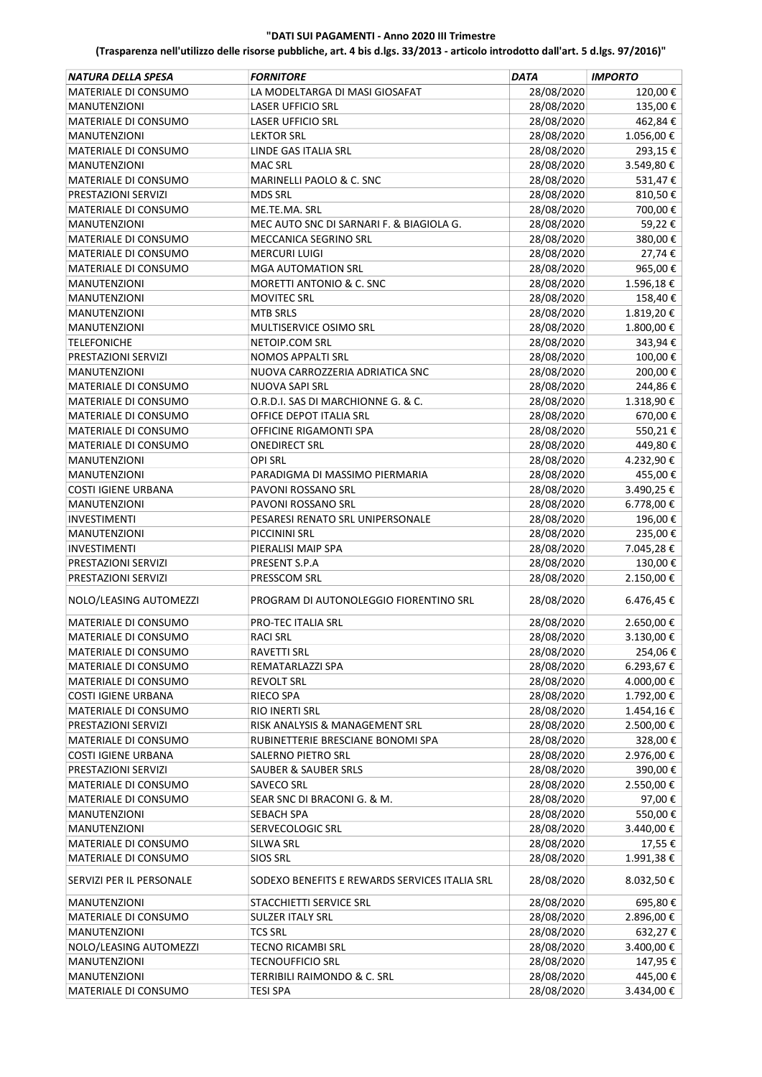| NATURA DELLA SPESA          | <b>FORNITORE</b>                              | DATA       | <b>IMPORTO</b> |
|-----------------------------|-----------------------------------------------|------------|----------------|
| MATERIALE DI CONSUMO        | LA MODELTARGA DI MASI GIOSAFAT                | 28/08/2020 | 120,00€        |
| <b>MANUTENZIONI</b>         | <b>LASER UFFICIO SRL</b>                      | 28/08/2020 | 135,00€        |
| MATERIALE DI CONSUMO        | <b>LASER UFFICIO SRL</b>                      | 28/08/2020 | 462,84€        |
| <b>MANUTENZIONI</b>         | <b>LEKTOR SRL</b>                             | 28/08/2020 | 1.056,00€      |
| MATERIALE DI CONSUMO        | <b>LINDE GAS ITALIA SRL</b>                   | 28/08/2020 | 293,15€        |
| <b>MANUTENZIONI</b>         | <b>MAC SRL</b>                                | 28/08/2020 | 3.549,80€      |
| MATERIALE DI CONSUMO        | MARINELLI PAOLO & C. SNC                      | 28/08/2020 | 531,47€        |
| PRESTAZIONI SERVIZI         | <b>MDS SRL</b>                                | 28/08/2020 | 810,50€        |
| MATERIALE DI CONSUMO        | ME.TE.MA. SRL                                 | 28/08/2020 | 700,00€        |
| <b>MANUTENZIONI</b>         | MEC AUTO SNC DI SARNARI F. & BIAGIOLA G.      | 28/08/2020 | 59,22€         |
| MATERIALE DI CONSUMO        | MECCANICA SEGRINO SRL                         | 28/08/2020 | 380,00€        |
| MATERIALE DI CONSUMO        | <b>MERCURI LUIGI</b>                          | 28/08/2020 | 27,74€         |
| MATERIALE DI CONSUMO        | <b>MGA AUTOMATION SRL</b>                     | 28/08/2020 | 965,00€        |
| MANUTENZIONI                | MORETTI ANTONIO & C. SNC                      | 28/08/2020 | 1.596,18€      |
| <b>MANUTENZIONI</b>         | <b>MOVITEC SRL</b>                            | 28/08/2020 | 158,40€        |
| <b>MANUTENZIONI</b>         | <b>MTB SRLS</b>                               | 28/08/2020 | 1.819,20€      |
| <b>MANUTENZIONI</b>         | MULTISERVICE OSIMO SRL                        | 28/08/2020 | 1.800,00 €     |
| <b>TELEFONICHE</b>          | NETOIP.COM SRL                                | 28/08/2020 | 343,94€        |
| PRESTAZIONI SERVIZI         | <b>NOMOS APPALTI SRL</b>                      | 28/08/2020 | 100,00€        |
| <b>MANUTENZIONI</b>         | NUOVA CARROZZERIA ADRIATICA SNC               | 28/08/2020 | 200,00€        |
| MATERIALE DI CONSUMO        | <b>NUOVA SAPI SRL</b>                         | 28/08/2020 | 244,86€        |
| MATERIALE DI CONSUMO        | O.R.D.I. SAS DI MARCHIONNE G. & C.            | 28/08/2020 | 1.318,90€      |
| MATERIALE DI CONSUMO        | OFFICE DEPOT ITALIA SRL                       | 28/08/2020 | 670,00€        |
| MATERIALE DI CONSUMO        | OFFICINE RIGAMONTI SPA                        | 28/08/2020 | 550,21€        |
| MATERIALE DI CONSUMO        | <b>ONEDIRECT SRL</b>                          | 28/08/2020 | 449,80€        |
| MANUTENZIONI                | <b>OPI SRL</b>                                | 28/08/2020 | 4.232,90€      |
| <b>MANUTENZIONI</b>         | PARADIGMA DI MASSIMO PIERMARIA                | 28/08/2020 | 455,00€        |
| <b>COSTI IGIENE URBANA</b>  | PAVONI ROSSANO SRL                            | 28/08/2020 | 3.490,25€      |
| <b>MANUTENZIONI</b>         | PAVONI ROSSANO SRL                            | 28/08/2020 | 6.778,00€      |
| INVESTIMENTI                | PESARESI RENATO SRL UNIPERSONALE              | 28/08/2020 | 196,00€        |
| MANUTENZIONI                | PICCININI SRL                                 | 28/08/2020 | 235,00€        |
| <b>INVESTIMENTI</b>         | PIERALISI MAIP SPA                            | 28/08/2020 | 7.045,28€      |
| PRESTAZIONI SERVIZI         | PRESENT S.P.A                                 | 28/08/2020 | 130,00€        |
| PRESTAZIONI SERVIZI         | PRESSCOM SRL                                  | 28/08/2020 | 2.150,00€      |
| NOLO/LEASING AUTOMEZZI      | PROGRAM DI AUTONOLEGGIO FIORENTINO SRL        | 28/08/2020 | 6.476,45€      |
| MATERIALE DI CONSUMO        | <b>PRO-TEC ITALIA SRL</b>                     | 28/08/2020 | 2.650,00 €     |
| MATERIALE DI CONSUMO        | <b>RACI SRL</b>                               | 28/08/2020 | 3.130,00€      |
| MATERIALE DI CONSUMO        | <b>RAVETTI SRL</b>                            | 28/08/2020 | 254,06€        |
| MATERIALE DI CONSUMO        | REMATARLAZZI SPA                              | 28/08/2020 | 6.293,67€      |
| MATERIALE DI CONSUMO        | <b>REVOLT SRL</b>                             | 28/08/2020 | 4.000,00€      |
| <b>COSTI IGIENE URBANA</b>  | <b>RIECO SPA</b>                              | 28/08/2020 | 1.792,00€      |
| <b>MATERIALE DI CONSUMO</b> | RIO INERTI SRL                                | 28/08/2020 | 1.454,16€      |
| PRESTAZIONI SERVIZI         | RISK ANALYSIS & MANAGEMENT SRL                | 28/08/2020 | 2.500,00 €     |
| MATERIALE DI CONSUMO        | RUBINETTERIE BRESCIANE BONOMI SPA             | 28/08/2020 | 328,00€        |
| <b>COSTI IGIENE URBANA</b>  | SALERNO PIETRO SRL                            | 28/08/2020 | 2.976,00€      |
| PRESTAZIONI SERVIZI         | SAUBER & SAUBER SRLS                          | 28/08/2020 | 390,00€        |
| MATERIALE DI CONSUMO        | <b>SAVECO SRL</b>                             | 28/08/2020 | 2.550,00€      |
| <b>MATERIALE DI CONSUMO</b> | SEAR SNC DI BRACONI G. & M.                   | 28/08/2020 | 97,00€         |
| <b>MANUTENZIONI</b>         | SEBACH SPA                                    | 28/08/2020 | 550,00€        |
| MANUTENZIONI                | SERVECOLOGIC SRL                              | 28/08/2020 | 3.440,00 €     |
| MATERIALE DI CONSUMO        | SILWA SRL                                     | 28/08/2020 | 17,55 €        |
| MATERIALE DI CONSUMO        | <b>SIOS SRL</b>                               | 28/08/2020 | 1.991,38€      |
| SERVIZI PER IL PERSONALE    | SODEXO BENEFITS E REWARDS SERVICES ITALIA SRL | 28/08/2020 | 8.032,50€      |
| <b>MANUTENZIONI</b>         | STACCHIETTI SERVICE SRL                       | 28/08/2020 | 695,80€        |
| MATERIALE DI CONSUMO        | SULZER ITALY SRL                              | 28/08/2020 | 2.896,00 €     |
| MANUTENZIONI                | <b>TCS SRL</b>                                | 28/08/2020 | 632,27€        |
| NOLO/LEASING AUTOMEZZI      | <b>TECNO RICAMBI SRL</b>                      | 28/08/2020 | 3.400,00 €     |
| <b>MANUTENZIONI</b>         | <b>TECNOUFFICIO SRL</b>                       | 28/08/2020 | 147,95 €       |
| MANUTENZIONI                | TERRIBILI RAIMONDO & C. SRL                   | 28/08/2020 | 445,00€        |
| MATERIALE DI CONSUMO        | <b>TESI SPA</b>                               | 28/08/2020 | 3.434,00 €     |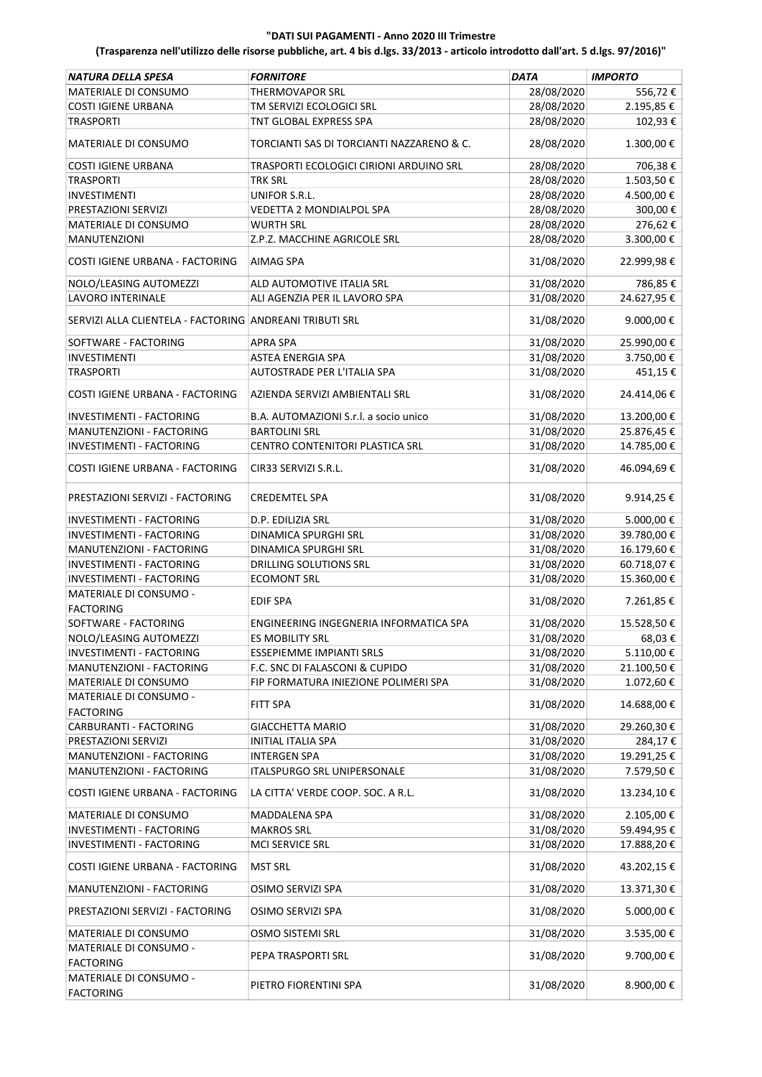| NATURA DELLA SPESA                                      | <b>FORNITORE</b>                          | <b>DATA</b> | <b>IMPORTO</b> |
|---------------------------------------------------------|-------------------------------------------|-------------|----------------|
| MATERIALE DI CONSUMO                                    | <b>THERMOVAPOR SRL</b>                    | 28/08/2020  | 556,72€        |
| <b>COSTI IGIENE URBANA</b>                              | TM SERVIZI ECOLOGICI SRL                  | 28/08/2020  | 2.195,85€      |
| <b>TRASPORTI</b>                                        | TNT GLOBAL EXPRESS SPA                    | 28/08/2020  | 102,93€        |
| MATERIALE DI CONSUMO                                    | TORCIANTI SAS DI TORCIANTI NAZZARENO & C. | 28/08/2020  | 1.300,00€      |
| <b>COSTI IGIENE URBANA</b>                              | TRASPORTI ECOLOGICI CIRIONI ARDUINO SRL   | 28/08/2020  | 706,38€        |
| <b>TRASPORTI</b>                                        | <b>TRK SRL</b>                            | 28/08/2020  | 1.503,50€      |
| <b>INVESTIMENTI</b>                                     | UNIFOR S.R.L.                             | 28/08/2020  | 4.500,00€      |
| PRESTAZIONI SERVIZI                                     | VEDETTA 2 MONDIALPOL SPA                  | 28/08/2020  | 300,00€        |
| MATERIALE DI CONSUMO                                    | <b>WURTH SRL</b>                          | 28/08/2020  | 276,62€        |
| <b>MANUTENZIONI</b>                                     | Z.P.Z. MACCHINE AGRICOLE SRL              | 28/08/2020  | 3.300,00€      |
| COSTI IGIENE URBANA - FACTORING                         | AIMAG SPA                                 | 31/08/2020  | 22.999,98€     |
| NOLO/LEASING AUTOMEZZI                                  | ALD AUTOMOTIVE ITALIA SRL                 | 31/08/2020  | 786,85€        |
| <b>LAVORO INTERINALE</b>                                | ALI AGENZIA PER IL LAVORO SPA             | 31/08/2020  | 24.627,95€     |
|                                                         |                                           |             |                |
| SERVIZI ALLA CLIENTELA - FACTORING ANDREANI TRIBUTI SRL |                                           | 31/08/2020  | 9.000,00€      |
| SOFTWARE - FACTORING                                    | APRA SPA                                  | 31/08/2020  | 25.990,00€     |
| <b>INVESTIMENTI</b>                                     | <b>ASTEA ENERGIA SPA</b>                  | 31/08/2020  | 3.750,00€      |
| <b>TRASPORTI</b>                                        | AUTOSTRADE PER L'ITALIA SPA               | 31/08/2020  | 451,15€        |
| COSTI IGIENE URBANA - FACTORING                         | AZIENDA SERVIZI AMBIENTALI SRL            | 31/08/2020  | 24.414,06€     |
| <b>INVESTIMENTI - FACTORING</b>                         | B.A. AUTOMAZIONI S.r.l. a socio unico     | 31/08/2020  | 13.200,00€     |
| MANUTENZIONI - FACTORING                                | <b>BARTOLINI SRL</b>                      | 31/08/2020  | 25.876,45€     |
| INVESTIMENTI - FACTORING                                | CENTRO CONTENITORI PLASTICA SRL           | 31/08/2020  | 14.785,00€     |
| COSTI IGIENE URBANA - FACTORING                         | CIR33 SERVIZI S.R.L.                      | 31/08/2020  | 46.094,69€     |
| PRESTAZIONI SERVIZI - FACTORING                         | <b>CREDEMTEL SPA</b>                      | 31/08/2020  | 9.914,25€      |
| <b>INVESTIMENTI - FACTORING</b>                         | D.P. EDILIZIA SRL                         | 31/08/2020  | 5.000,00€      |
| INVESTIMENTI - FACTORING                                | DINAMICA SPURGHI SRL                      | 31/08/2020  | 39.780,00€     |
| MANUTENZIONI - FACTORING                                | DINAMICA SPURGHI SRL                      | 31/08/2020  | 16.179,60€     |
| INVESTIMENTI - FACTORING                                | <b>DRILLING SOLUTIONS SRL</b>             | 31/08/2020  | 60.718,07€     |
| INVESTIMENTI - FACTORING                                | <b>ECOMONT SRL</b>                        | 31/08/2020  | 15.360,00€     |
| MATERIALE DI CONSUMO -                                  |                                           |             |                |
| <b>FACTORING</b>                                        | <b>EDIF SPA</b>                           | 31/08/2020  | 7.261,85€      |
| SOFTWARE - FACTORING                                    | ENGINEERING INGEGNERIA INFORMATICA SPA    | 31/08/2020  | 15.528,50€     |
| NOLO/LEASING AUTOMEZZI                                  | ES MOBILITY SRL                           | 31/08/2020  | 68,03€         |
| INVESTIMENTI - FACTORING                                | ESSEPIEMME IMPIANTI SRLS                  | 31/08/2020  | 5.110,00€      |
| MANUTENZIONI - FACTORING                                | F.C. SNC DI FALASCONI & CUPIDO            | 31/08/2020  | 21.100,50€     |
| MATERIALE DI CONSUMO                                    | FIP FORMATURA INIEZIONE POLIMERI SPA      | 31/08/2020  | 1.072,60 €     |
| MATERIALE DI CONSUMO -                                  |                                           |             |                |
| <b>FACTORING</b>                                        | FITT SPA                                  | 31/08/2020  | 14.688,00€     |
| CARBURANTI - FACTORING                                  | <b>GIACCHETTA MARIO</b>                   | 31/08/2020  | 29.260,30€     |
| PRESTAZIONI SERVIZI                                     | <b>INITIAL ITALIA SPA</b>                 | 31/08/2020  | 284,17€        |
| MANUTENZIONI - FACTORING                                | <b>INTERGEN SPA</b>                       | 31/08/2020  | 19.291,25€     |
| MANUTENZIONI - FACTORING                                | ITALSPURGO SRL UNIPERSONALE               | 31/08/2020  | 7.579,50€      |
| COSTI IGIENE URBANA - FACTORING                         | LA CITTA' VERDE COOP. SOC. A R.L.         | 31/08/2020  | 13.234,10€     |
| MATERIALE DI CONSUMO                                    | MADDALENA SPA                             | 31/08/2020  | 2.105,00€      |
| INVESTIMENTI - FACTORING                                | <b>MAKROS SRL</b>                         | 31/08/2020  | 59.494,95€     |
| INVESTIMENTI - FACTORING                                | MCI SERVICE SRL                           | 31/08/2020  | 17.888,20€     |
|                                                         |                                           |             |                |
| COSTI IGIENE URBANA - FACTORING                         | <b>MST SRL</b>                            | 31/08/2020  | 43.202,15€     |
| MANUTENZIONI - FACTORING                                | OSIMO SERVIZI SPA                         | 31/08/2020  | 13.371,30€     |
| PRESTAZIONI SERVIZI - FACTORING                         | OSIMO SERVIZI SPA                         | 31/08/2020  | 5.000,00€      |
| MATERIALE DI CONSUMO                                    | OSMO SISTEMI SRL                          | 31/08/2020  | 3.535,00 €     |
| MATERIALE DI CONSUMO -<br><b>FACTORING</b>              | PEPA TRASPORTI SRL                        | 31/08/2020  | 9.700,00€      |
| MATERIALE DI CONSUMO -<br><b>FACTORING</b>              | PIETRO FIORENTINI SPA                     | 31/08/2020  | 8.900,00€      |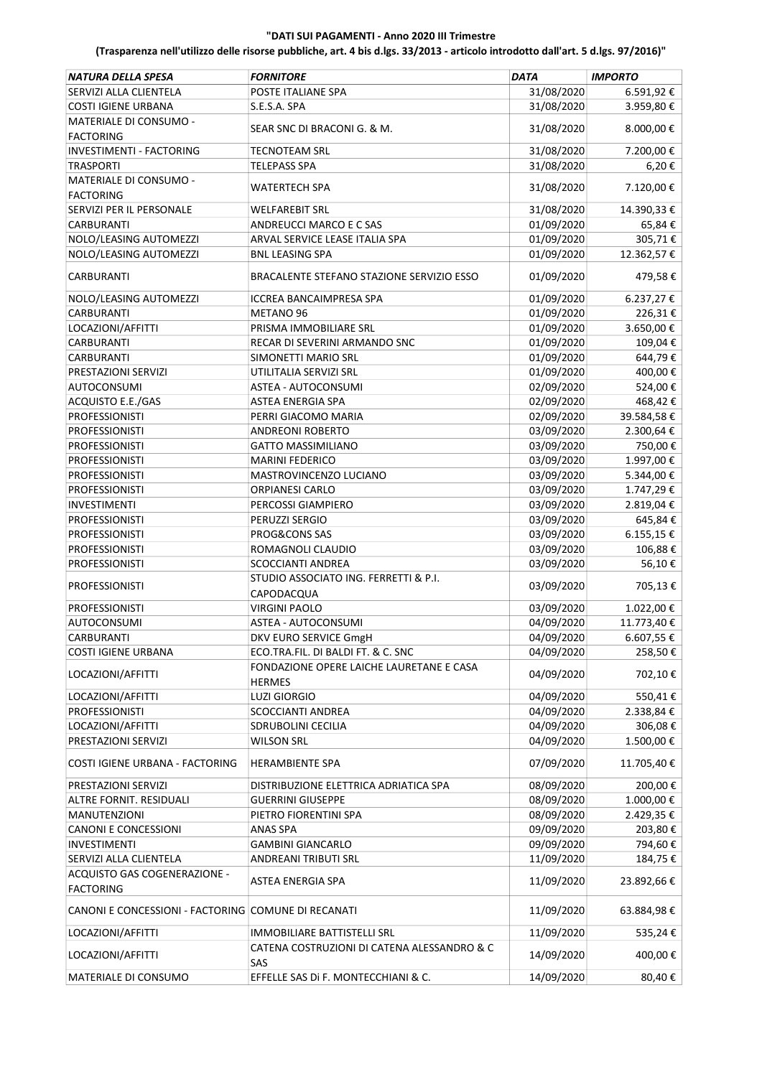| NATURA DELLA SPESA                                  | <b>FORNITORE</b>                                          | <b>DATA</b> | <b>IMPORTO</b> |
|-----------------------------------------------------|-----------------------------------------------------------|-------------|----------------|
| SERVIZI ALLA CLIENTELA                              | POSTE ITALIANE SPA                                        | 31/08/2020  | 6.591,92€      |
| <b>COSTI IGIENE URBANA</b>                          | S.E.S.A. SPA                                              | 31/08/2020  | 3.959,80€      |
| MATERIALE DI CONSUMO -                              |                                                           |             |                |
| <b>FACTORING</b>                                    | SEAR SNC DI BRACONI G. & M.                               | 31/08/2020  | 8.000,00€      |
| INVESTIMENTI - FACTORING                            | <b>TECNOTEAM SRL</b>                                      | 31/08/2020  | 7.200,00 €     |
| <b>TRASPORTI</b>                                    | <b>TELEPASS SPA</b>                                       | 31/08/2020  | 6,20€          |
|                                                     |                                                           |             |                |
| MATERIALE DI CONSUMO -                              | <b>WATERTECH SPA</b>                                      | 31/08/2020  | 7.120,00€      |
| <b>FACTORING</b>                                    |                                                           |             |                |
| SERVIZI PER IL PERSONALE                            | <b>WELFAREBIT SRL</b>                                     | 31/08/2020  | 14.390,33 €    |
| <b>CARBURANTI</b>                                   | ANDREUCCI MARCO E C SAS                                   | 01/09/2020  | 65,84€         |
| NOLO/LEASING AUTOMEZZI                              | ARVAL SERVICE LEASE ITALIA SPA                            | 01/09/2020  | 305,71€        |
| NOLO/LEASING AUTOMEZZI                              | <b>BNL LEASING SPA</b>                                    | 01/09/2020  | 12.362,57€     |
| CARBURANTI                                          | BRACALENTE STEFANO STAZIONE SERVIZIO ESSO                 | 01/09/2020  | 479,58€        |
| NOLO/LEASING AUTOMEZZI                              | <b>ICCREA BANCAIMPRESA SPA</b>                            | 01/09/2020  | 6.237,27€      |
| CARBURANTI                                          | METANO <sub>96</sub>                                      | 01/09/2020  | 226,31€        |
| LOCAZIONI/AFFITTI                                   | PRISMA IMMOBILIARE SRL                                    | 01/09/2020  | 3.650,00€      |
| CARBURANTI                                          | RECAR DI SEVERINI ARMANDO SNC                             | 01/09/2020  | 109,04€        |
| CARBURANTI                                          | SIMONETTI MARIO SRL                                       | 01/09/2020  | 644,79€        |
| PRESTAZIONI SERVIZI                                 | UTILITALIA SERVIZI SRL                                    | 01/09/2020  | 400,00€        |
| AUTOCONSUMI                                         | ASTEA - AUTOCONSUMI                                       | 02/09/2020  | 524,00€        |
| ACQUISTO E.E./GAS                                   | ASTEA ENERGIA SPA                                         | 02/09/2020  | 468,42€        |
| <b>PROFESSIONISTI</b>                               | PERRI GIACOMO MARIA                                       | 02/09/2020  | 39.584,58€     |
| <b>PROFESSIONISTI</b>                               | <b>ANDREONI ROBERTO</b>                                   | 03/09/2020  | 2.300,64€      |
| <b>PROFESSIONISTI</b>                               | <b>GATTO MASSIMILIANO</b>                                 | 03/09/2020  | 750,00€        |
| <b>PROFESSIONISTI</b>                               | MARINI FEDERICO                                           | 03/09/2020  | 1.997,00€      |
| <b>PROFESSIONISTI</b>                               | MASTROVINCENZO LUCIANO                                    | 03/09/2020  | 5.344,00 €     |
| <b>PROFESSIONISTI</b>                               | <b>ORPIANESI CARLO</b>                                    | 03/09/2020  | 1.747,29€      |
| <b>INVESTIMENTI</b>                                 | PERCOSSI GIAMPIERO                                        | 03/09/2020  | 2.819,04€      |
| <b>PROFESSIONISTI</b>                               | PERUZZI SERGIO                                            | 03/09/2020  | 645,84€        |
| <b>PROFESSIONISTI</b>                               | PROG&CONS SAS                                             | 03/09/2020  | 6.155,15€      |
| <b>PROFESSIONISTI</b>                               | ROMAGNOLI CLAUDIO                                         | 03/09/2020  | 106,88€        |
| <b>PROFESSIONISTI</b>                               | SCOCCIANTI ANDREA                                         | 03/09/2020  | 56,10€         |
|                                                     | STUDIO ASSOCIATO ING. FERRETTI & P.I.                     |             |                |
| <b>PROFESSIONISTI</b>                               | CAPODACQUA                                                | 03/09/2020  | 705,13€        |
| <b>PROFESSIONISTI</b>                               | <b>VIRGINI PAOLO</b>                                      | 03/09/2020  | 1.022,00€      |
| <b>AUTOCONSUMI</b>                                  | ASTEA - AUTOCONSUMI                                       | 04/09/2020  | 11.773,40€     |
| CARBURANTI                                          | DKV EURO SERVICE GmgH                                     | 04/09/2020  | 6.607,55 €     |
| <b>COSTI IGIENE URBANA</b>                          | ECO.TRA.FIL. DI BALDI FT. & C. SNC                        | 04/09/2020  | 258,50€        |
| LOCAZIONI/AFFITTI                                   | FONDAZIONE OPERE LAICHE LAURETANE E CASA<br><b>HERMES</b> | 04/09/2020  | 702,10€        |
| LOCAZIONI/AFFITTI                                   | <b>LUZI GIORGIO</b>                                       | 04/09/2020  | 550,41€        |
| <b>PROFESSIONISTI</b>                               | SCOCCIANTI ANDREA                                         | 04/09/2020  | 2.338,84 €     |
| LOCAZIONI/AFFITTI                                   | SDRUBOLINI CECILIA                                        | 04/09/2020  | 306,08€        |
| PRESTAZIONI SERVIZI                                 | <b>WILSON SRL</b>                                         | 04/09/2020  | 1.500,00€      |
| COSTI IGIENE URBANA - FACTORING                     | <b>HERAMBIENTE SPA</b>                                    | 07/09/2020  | 11.705,40€     |
| PRESTAZIONI SERVIZI                                 | DISTRIBUZIONE ELETTRICA ADRIATICA SPA                     | 08/09/2020  | 200,00€        |
| ALTRE FORNIT. RESIDUALI                             | <b>GUERRINI GIUSEPPE</b>                                  | 08/09/2020  | 1.000,00€      |
| <b>MANUTENZIONI</b>                                 | PIETRO FIORENTINI SPA                                     | 08/09/2020  | 2.429,35€      |
| <b>CANONI E CONCESSIONI</b>                         | <b>ANAS SPA</b>                                           | 09/09/2020  | 203,80€        |
| <b>INVESTIMENTI</b>                                 | <b>GAMBINI GIANCARLO</b>                                  | 09/09/2020  | 794,60€        |
| SERVIZI ALLA CLIENTELA                              | ANDREANI TRIBUTI SRL                                      | 11/09/2020  | 184,75€        |
| ACQUISTO GAS COGENERAZIONE -<br><b>FACTORING</b>    | ASTEA ENERGIA SPA                                         | 11/09/2020  | 23.892,66€     |
| CANONI E CONCESSIONI - FACTORING COMUNE DI RECANATI |                                                           | 11/09/2020  | 63.884,98€     |
| LOCAZIONI/AFFITTI                                   | IMMOBILIARE BATTISTELLI SRL                               | 11/09/2020  | 535,24€        |
| LOCAZIONI/AFFITTI                                   | CATENA COSTRUZIONI DI CATENA ALESSANDRO & C               | 14/09/2020  | 400,00€        |
| MATERIALE DI CONSUMO                                | SAS<br>EFFELLE SAS Di F. MONTECCHIANI & C.                | 14/09/2020  | 80,40€         |
|                                                     |                                                           |             |                |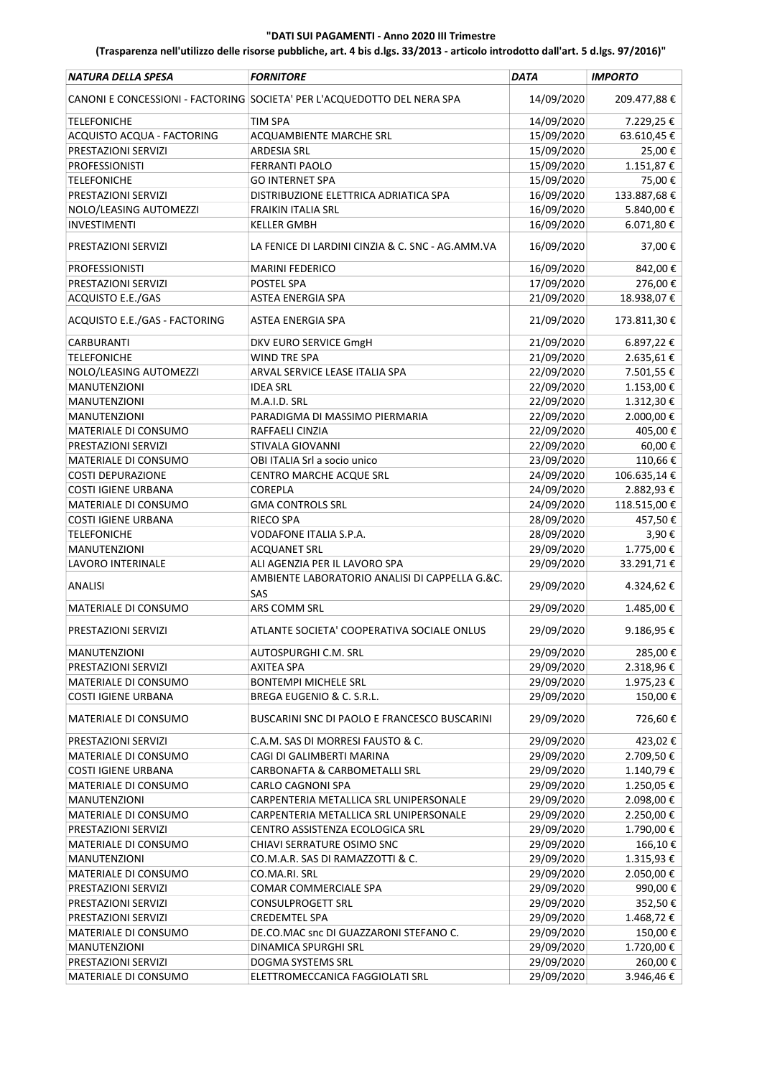| NATURA DELLA SPESA            | <b>FORNITORE</b>                                                        | <b>DATA</b> | <b>IMPORTO</b>        |
|-------------------------------|-------------------------------------------------------------------------|-------------|-----------------------|
|                               | CANONI E CONCESSIONI - FACTORING SOCIETA' PER L'ACQUEDOTTO DEL NERA SPA | 14/09/2020  | 209.477,88€           |
| <b>TELEFONICHE</b>            | <b>TIM SPA</b>                                                          | 14/09/2020  | 7.229,25€             |
| ACQUISTO ACQUA - FACTORING    | ACQUAMBIENTE MARCHE SRL                                                 | 15/09/2020  | 63.610,45€            |
| PRESTAZIONI SERVIZI           | <b>ARDESIA SRL</b>                                                      | 15/09/2020  | 25,00€                |
| <b>PROFESSIONISTI</b>         | <b>FERRANTI PAOLO</b>                                                   | 15/09/2020  | 1.151,87€             |
| <b>TELEFONICHE</b>            | <b>GO INTERNET SPA</b>                                                  | 15/09/2020  | 75,00€                |
| PRESTAZIONI SERVIZI           | DISTRIBUZIONE ELETTRICA ADRIATICA SPA                                   | 16/09/2020  | 133.887,68€           |
| NOLO/LEASING AUTOMEZZI        | <b>FRAIKIN ITALIA SRL</b>                                               | 16/09/2020  | 5.840,00€             |
| <b>INVESTIMENTI</b>           | <b>KELLER GMBH</b>                                                      | 16/09/2020  | 6.071,80€             |
| PRESTAZIONI SERVIZI           | LA FENICE DI LARDINI CINZIA & C. SNC - AG.AMM.VA                        | 16/09/2020  | 37,00€                |
| <b>PROFESSIONISTI</b>         | <b>MARINI FEDERICO</b>                                                  | 16/09/2020  | 842,00€               |
| PRESTAZIONI SERVIZI           | POSTEL SPA                                                              | 17/09/2020  | 276,00€               |
| ACQUISTO E.E./GAS             | ASTEA ENERGIA SPA                                                       | 21/09/2020  | 18.938,07€            |
| ACQUISTO E.E./GAS - FACTORING | <b>ASTEA ENERGIA SPA</b>                                                | 21/09/2020  | 173.811,30€           |
| CARBURANTI                    | DKV EURO SERVICE GmgH                                                   | 21/09/2020  | 6.897,22€             |
| <b>TELEFONICHE</b>            | WIND TRE SPA                                                            | 21/09/2020  | 2.635,61€             |
| NOLO/LEASING AUTOMEZZI        | ARVAL SERVICE LEASE ITALIA SPA                                          | 22/09/2020  | 7.501,55€             |
| <b>MANUTENZIONI</b>           | <b>IDEA SRL</b>                                                         | 22/09/2020  | 1.153,00€             |
| <b>MANUTENZIONI</b>           | M.A.I.D. SRL                                                            | 22/09/2020  | $1.312, 30\ \epsilon$ |
| <b>MANUTENZIONI</b>           | PARADIGMA DI MASSIMO PIERMARIA                                          | 22/09/2020  | 2.000,00€             |
| MATERIALE DI CONSUMO          | RAFFAELI CINZIA                                                         | 22/09/2020  | 405,00€               |
| PRESTAZIONI SERVIZI           | STIVALA GIOVANNI                                                        | 22/09/2020  | 60,00€                |
| MATERIALE DI CONSUMO          | OBI ITALIA Srl a socio unico                                            | 23/09/2020  | 110,66€               |
| <b>COSTI DEPURAZIONE</b>      | CENTRO MARCHE ACQUE SRL                                                 | 24/09/2020  | 106.635,14€           |
| <b>COSTI IGIENE URBANA</b>    | <b>COREPLA</b>                                                          | 24/09/2020  | 2.882,93€             |
| MATERIALE DI CONSUMO          | <b>GMA CONTROLS SRL</b>                                                 | 24/09/2020  | 118.515,00€           |
| <b>COSTI IGIENE URBANA</b>    | <b>RIECO SPA</b>                                                        | 28/09/2020  | 457,50€               |
| <b>TELEFONICHE</b>            | VODAFONE ITALIA S.P.A.                                                  | 28/09/2020  | 3,90€                 |
| <b>MANUTENZIONI</b>           | <b>ACQUANET SRL</b>                                                     | 29/09/2020  | 1.775,00 €            |
| LAVORO INTERINALE             | ALI AGENZIA PER IL LAVORO SPA                                           | 29/09/2020  | 33.291,71€            |
|                               | AMBIENTE LABORATORIO ANALISI DI CAPPELLA G.&C.                          |             |                       |
| <b>ANALISI</b>                | SAS                                                                     | 29/09/2020  | 4.324,62€             |
| MATERIALE DI CONSUMO          | ARS COMM SRL                                                            | 29/09/2020  | 1.485,00€             |
| PRESTAZIONI SERVIZI           | ATLANTE SOCIETA' COOPERATIVA SOCIALE ONLUS                              | 29/09/2020  | 9.186,95€             |
| MANUTENZIONI                  | AUTOSPURGHI C.M. SRL                                                    | 29/09/2020  | 285,00€               |
| PRESTAZIONI SERVIZI           | <b>AXITEA SPA</b>                                                       | 29/09/2020  | 2.318,96€             |
| MATERIALE DI CONSUMO          | <b>BONTEMPI MICHELE SRL</b>                                             | 29/09/2020  | 1.975,23€             |
| <b>COSTI IGIENE URBANA</b>    | BREGA EUGENIO & C. S.R.L.                                               | 29/09/2020  | 150,00€               |
| MATERIALE DI CONSUMO          | BUSCARINI SNC DI PAOLO E FRANCESCO BUSCARINI                            | 29/09/2020  | 726,60€               |
| PRESTAZIONI SERVIZI           | C.A.M. SAS DI MORRESI FAUSTO & C.                                       | 29/09/2020  | 423,02€               |
| MATERIALE DI CONSUMO          | CAGI DI GALIMBERTI MARINA                                               | 29/09/2020  | 2.709,50€             |
| <b>COSTI IGIENE URBANA</b>    | CARBONAFTA & CARBOMETALLI SRL                                           | 29/09/2020  | 1.140,79€             |
| MATERIALE DI CONSUMO          | CARLO CAGNONI SPA                                                       | 29/09/2020  | 1.250,05€             |
| MANUTENZIONI                  | CARPENTERIA METALLICA SRL UNIPERSONALE                                  | 29/09/2020  | 2.098,00€             |
| MATERIALE DI CONSUMO          | CARPENTERIA METALLICA SRL UNIPERSONALE                                  | 29/09/2020  | 2.250,00€             |
| PRESTAZIONI SERVIZI           | CENTRO ASSISTENZA ECOLOGICA SRL                                         | 29/09/2020  | 1.790,00€             |
| MATERIALE DI CONSUMO          | CHIAVI SERRATURE OSIMO SNC                                              | 29/09/2020  | 166,10€               |
| <b>MANUTENZIONI</b>           | CO.M.A.R. SAS DI RAMAZZOTTI & C.                                        | 29/09/2020  | 1.315,93€             |
| MATERIALE DI CONSUMO          | CO.MA.RI. SRL                                                           | 29/09/2020  | 2.050,00 €            |
| PRESTAZIONI SERVIZI           | COMAR COMMERCIALE SPA                                                   | 29/09/2020  | 990,00€               |
| PRESTAZIONI SERVIZI           | <b>CONSULPROGETT SRL</b>                                                | 29/09/2020  | 352,50€               |
| PRESTAZIONI SERVIZI           | <b>CREDEMTEL SPA</b>                                                    | 29/09/2020  | 1.468,72€             |
| MATERIALE DI CONSUMO          | DE.CO.MAC snc DI GUAZZARONI STEFANO C.                                  | 29/09/2020  | 150,00€               |
| MANUTENZIONI                  | DINAMICA SPURGHI SRL                                                    | 29/09/2020  | 1.720,00€             |
| PRESTAZIONI SERVIZI           | DOGMA SYSTEMS SRL                                                       | 29/09/2020  | 260,00€               |
| MATERIALE DI CONSUMO          | ELETTROMECCANICA FAGGIOLATI SRL                                         | 29/09/2020  | 3.946,46€             |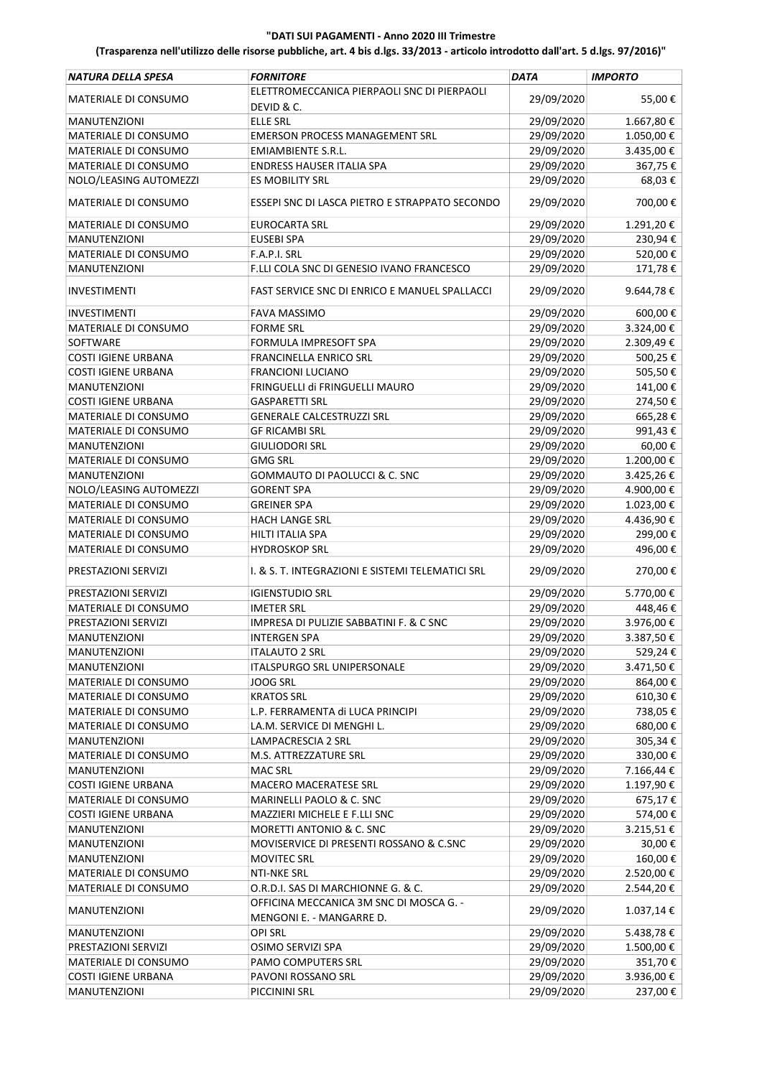| NATURA DELLA SPESA         | <b>FORNITORE</b>                                   | <b>DATA</b> | <b>IMPORTO</b> |
|----------------------------|----------------------------------------------------|-------------|----------------|
| MATERIALE DI CONSUMO       | ELETTROMECCANICA PIERPAOLI SNC DI PIERPAOLI        | 29/09/2020  | 55,00€         |
|                            | DEVID & C.                                         |             |                |
| <b>MANUTENZIONI</b>        | <b>ELLE SRL</b>                                    | 29/09/2020  | 1.667,80€      |
| MATERIALE DI CONSUMO       | <b>EMERSON PROCESS MANAGEMENT SRL</b>              | 29/09/2020  | $1.050,00$ €   |
| MATERIALE DI CONSUMO       | <b>EMIAMBIENTE S.R.L.</b>                          | 29/09/2020  | 3.435,00€      |
| MATERIALE DI CONSUMO       | <b>ENDRESS HAUSER ITALIA SPA</b>                   | 29/09/2020  | 367,75€        |
| NOLO/LEASING AUTOMEZZI     | <b>ES MOBILITY SRL</b>                             | 29/09/2020  | 68,03€         |
| MATERIALE DI CONSUMO       | ESSEPI SNC DI LASCA PIETRO E STRAPPATO SECONDO     | 29/09/2020  | 700,00€        |
| MATERIALE DI CONSUMO       | <b>EUROCARTA SRL</b>                               | 29/09/2020  | 1.291,20€      |
| MANUTENZIONI               | <b>EUSEBI SPA</b>                                  | 29/09/2020  | 230,94€        |
| MATERIALE DI CONSUMO       | F.A.P.I. SRL                                       | 29/09/2020  | 520,00€        |
| MANUTENZIONI               | F.LLI COLA SNC DI GENESIO IVANO FRANCESCO          | 29/09/2020  | 171,78€        |
| <b>INVESTIMENTI</b>        | FAST SERVICE SNC DI ENRICO E MANUEL SPALLACCI      | 29/09/2020  | 9.644,78€      |
| INVESTIMENTI               | FAVA MASSIMO                                       | 29/09/2020  | 600,00€        |
| MATERIALE DI CONSUMO       | <b>FORME SRL</b>                                   | 29/09/2020  | 3.324,00€      |
| SOFTWARE                   | FORMULA IMPRESOFT SPA                              | 29/09/2020  | 2.309,49€      |
| <b>COSTI IGIENE URBANA</b> | <b>FRANCINELLA ENRICO SRL</b>                      | 29/09/2020  | 500,25€        |
| <b>COSTI IGIENE URBANA</b> | <b>FRANCIONI LUCIANO</b>                           | 29/09/2020  | 505,50€        |
| MANUTENZIONI               | FRINGUELLI di FRINGUELLI MAURO                     | 29/09/2020  | 141,00€        |
| <b>COSTI IGIENE URBANA</b> | <b>GASPARETTI SRL</b>                              | 29/09/2020  | 274,50€        |
| MATERIALE DI CONSUMO       | <b>GENERALE CALCESTRUZZI SRL</b>                   | 29/09/2020  | 665,28€        |
| MATERIALE DI CONSUMO       | <b>GF RICAMBI SRL</b>                              | 29/09/2020  | 991,43€        |
| <b>MANUTENZIONI</b>        | <b>GIULIODORI SRL</b>                              | 29/09/2020  | 60,00€         |
| MATERIALE DI CONSUMO       | <b>GMG SRL</b>                                     | 29/09/2020  | 1.200,00€      |
| MANUTENZIONI               | GOMMAUTO DI PAOLUCCI & C. SNC                      | 29/09/2020  | 3.425,26€      |
| NOLO/LEASING AUTOMEZZI     | <b>GORENT SPA</b>                                  | 29/09/2020  | 4.900,00€      |
| MATERIALE DI CONSUMO       | GREINER SPA                                        | 29/09/2020  | 1.023,00€      |
| MATERIALE DI CONSUMO       | <b>HACH LANGE SRL</b>                              | 29/09/2020  | 4.436,90€      |
| MATERIALE DI CONSUMO       | HILTI ITALIA SPA                                   | 29/09/2020  | 299,00€        |
| MATERIALE DI CONSUMO       | <b>HYDROSKOP SRL</b>                               | 29/09/2020  | 496,00€        |
| PRESTAZIONI SERVIZI        | I. & S. T. INTEGRAZIONI E SISTEMI TELEMATICI SRL   | 29/09/2020  | 270,00€        |
| PRESTAZIONI SERVIZI        | <b>IGIENSTUDIO SRL</b>                             | 29/09/2020  | 5.770,00€      |
| MATERIALE DI CONSUMO       | <b>IMETER SRL</b>                                  | 29/09/2020  | 448,46€        |
| PRESTAZIONI SERVIZI        | <b>IMPRESA DI PULIZIE SABBATINI F. &amp; C SNC</b> | 29/09/2020  | 3.976,00€      |
| <b>MANUTENZIONI</b>        | <b>INTERGEN SPA</b>                                | 29/09/2020  | 3.387,50€      |
| <b>MANUTENZIONI</b>        | ITALAUTO 2 SRL                                     | 29/09/2020  | 529,24€        |
| MANUTENZIONI               | ITALSPURGO SRL UNIPERSONALE                        | 29/09/2020  | 3.471,50€      |
| MATERIALE DI CONSUMO       | JOOG SRL                                           | 29/09/2020  | 864,00€        |
| MATERIALE DI CONSUMO       | <b>KRATOS SRL</b>                                  | 29/09/2020  | 610,30€        |
| MATERIALE DI CONSUMO       | L.P. FERRAMENTA di LUCA PRINCIPI                   | 29/09/2020  | 738,05 €       |
| MATERIALE DI CONSUMO       | LA.M. SERVICE DI MENGHI L.                         | 29/09/2020  | 680,00€        |
| <b>MANUTENZIONI</b>        | LAMPACRESCIA 2 SRL                                 | 29/09/2020  | 305,34€        |
| MATERIALE DI CONSUMO       | M.S. ATTREZZATURE SRL                              | 29/09/2020  | 330,00€        |
| MANUTENZIONI               | <b>MAC SRL</b>                                     | 29/09/2020  | 7.166,44 €     |
| <b>COSTI IGIENE URBANA</b> | MACERO MACERATESE SRL                              | 29/09/2020  | 1.197,90 €     |
| MATERIALE DI CONSUMO       | MARINELLI PAOLO & C. SNC                           | 29/09/2020  | 675,17€        |
| <b>COSTI IGIENE URBANA</b> | MAZZIERI MICHELE E F.LLI SNC                       | 29/09/2020  | 574,00€        |
| MANUTENZIONI               | MORETTI ANTONIO & C. SNC                           | 29/09/2020  | 3.215,51€      |
| MANUTENZIONI               | MOVISERVICE DI PRESENTI ROSSANO & C.SNC            | 29/09/2020  | 30,00€         |
| <b>MANUTENZIONI</b>        | <b>MOVITEC SRL</b>                                 | 29/09/2020  | 160,00€        |
| MATERIALE DI CONSUMO       | NTI-NKE SRL                                        | 29/09/2020  | 2.520,00 €     |
| MATERIALE DI CONSUMO       | O.R.D.I. SAS DI MARCHIONNE G. & C.                 | 29/09/2020  |                |
|                            | OFFICINA MECCANICA 3M SNC DI MOSCA G. -            |             | 2.544,20€      |
| <b>MANUTENZIONI</b>        | MENGONI E. - MANGARRE D.                           | 29/09/2020  | 1.037,14€      |
| MANUTENZIONI               | <b>OPI SRL</b>                                     | 29/09/2020  | 5.438,78€      |
| PRESTAZIONI SERVIZI        | OSIMO SERVIZI SPA                                  | 29/09/2020  | 1.500,00 €     |
| MATERIALE DI CONSUMO       | PAMO COMPUTERS SRL                                 | 29/09/2020  | 351,70€        |
| <b>COSTI IGIENE URBANA</b> | PAVONI ROSSANO SRL                                 | 29/09/2020  | 3.936,00 €     |
| MANUTENZIONI               | PICCININI SRL                                      | 29/09/2020  | 237,00€        |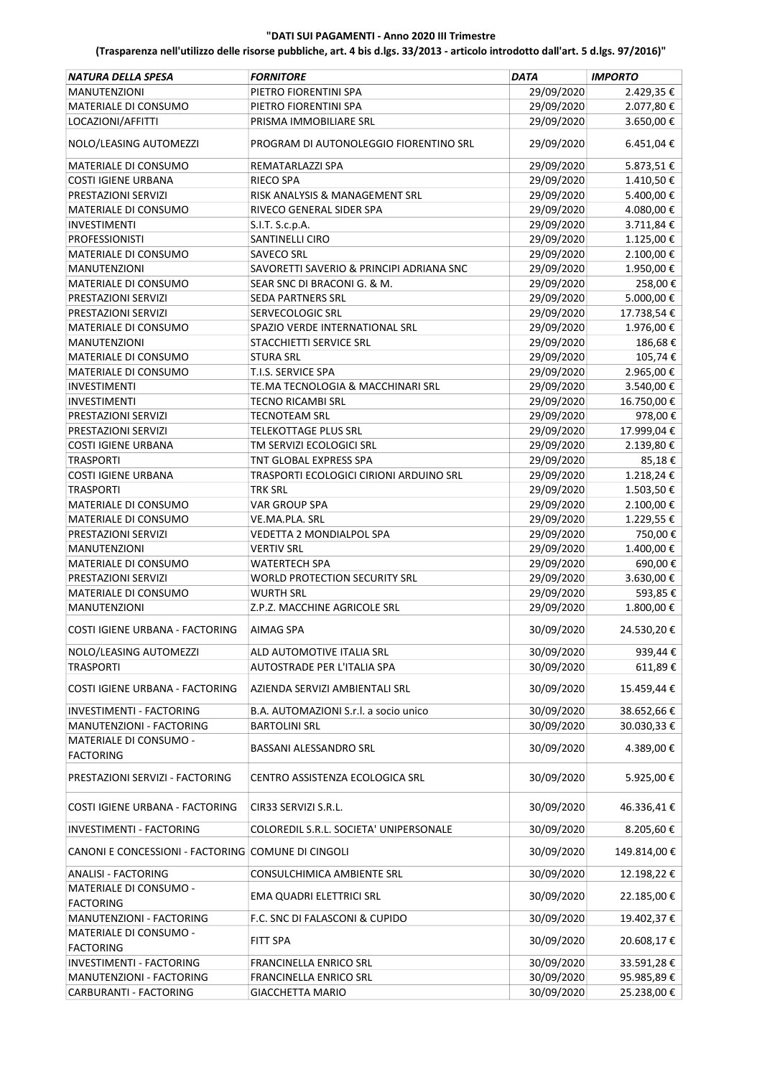| NATURA DELLA SPESA                                 | <b>FORNITORE</b>                                         | DATA       | <b>IMPORTO</b>         |
|----------------------------------------------------|----------------------------------------------------------|------------|------------------------|
| <b>MANUTENZIONI</b>                                | PIETRO FIORENTINI SPA                                    | 29/09/2020 | 2.429,35€              |
| MATERIALE DI CONSUMO                               | PIETRO FIORENTINI SPA                                    | 29/09/2020 | 2.077,80 €             |
| LOCAZIONI/AFFITTI                                  | PRISMA IMMOBILIARE SRL                                   | 29/09/2020 | 3.650,00€              |
| NOLO/LEASING AUTOMEZZI                             | PROGRAM DI AUTONOLEGGIO FIORENTINO SRL                   | 29/09/2020 | 6.451,04€              |
| MATERIALE DI CONSUMO                               | REMATARLAZZI SPA                                         | 29/09/2020 | 5.873,51€              |
| <b>COSTI IGIENE URBANA</b>                         | RIECO SPA                                                | 29/09/2020 | 1.410,50€              |
| PRESTAZIONI SERVIZI                                | RISK ANALYSIS & MANAGEMENT SRL                           | 29/09/2020 | 5.400,00€              |
| MATERIALE DI CONSUMO                               | RIVECO GENERAL SIDER SPA                                 | 29/09/2020 | 4.080,00€              |
| <b>INVESTIMENTI</b>                                | S.I.T. S.c.p.A.                                          | 29/09/2020 | 3.711,84€              |
| <b>PROFESSIONISTI</b>                              | SANTINELLI CIRO                                          | 29/09/2020 | 1.125,00€              |
| MATERIALE DI CONSUMO                               | <b>SAVECO SRL</b>                                        | 29/09/2020 | 2.100,00€              |
| <b>MANUTENZIONI</b>                                | SAVORETTI SAVERIO & PRINCIPI ADRIANA SNC                 | 29/09/2020 | 1.950,00€              |
| MATERIALE DI CONSUMO                               | SEAR SNC DI BRACONI G. & M.                              | 29/09/2020 | 258,00€                |
| PRESTAZIONI SERVIZI                                | <b>SEDA PARTNERS SRL</b>                                 | 29/09/2020 | 5.000,00€              |
| PRESTAZIONI SERVIZI                                | <b>SERVECOLOGIC SRL</b>                                  | 29/09/2020 | 17.738,54€             |
| MATERIALE DI CONSUMO                               | SPAZIO VERDE INTERNATIONAL SRL                           | 29/09/2020 | 1.976,00€              |
| <b>MANUTENZIONI</b>                                | STACCHIETTI SERVICE SRL                                  | 29/09/2020 | 186,68€                |
| <b>MATERIALE DI CONSUMO</b>                        | <b>STURA SRL</b>                                         | 29/09/2020 | 105,74€                |
| MATERIALE DI CONSUMO                               | T.I.S. SERVICE SPA                                       | 29/09/2020 | 2.965,00€              |
| INVESTIMENTI                                       | TE.MA TECNOLOGIA & MACCHINARI SRL                        | 29/09/2020 | 3.540,00€              |
| INVESTIMENTI                                       | <b>TECNO RICAMBI SRL</b>                                 | 29/09/2020 | 16.750,00€             |
| PRESTAZIONI SERVIZI                                | <b>TECNOTEAM SRL</b>                                     | 29/09/2020 | 978,00€                |
| PRESTAZIONI SERVIZI                                | TELEKOTTAGE PLUS SRL                                     | 29/09/2020 | 17.999,04€             |
| <b>COSTI IGIENE URBANA</b>                         | TM SERVIZI ECOLOGICI SRL                                 | 29/09/2020 | 2.139,80€              |
| <b>TRASPORTI</b>                                   | TNT GLOBAL EXPRESS SPA                                   | 29/09/2020 | 85,18€                 |
| <b>COSTI IGIENE URBANA</b>                         | TRASPORTI ECOLOGICI CIRIONI ARDUINO SRL                  | 29/09/2020 | 1.218,24€              |
| <b>TRASPORTI</b>                                   | TRK SRL                                                  | 29/09/2020 | 1.503,50€              |
| MATERIALE DI CONSUMO                               | <b>VAR GROUP SPA</b>                                     | 29/09/2020 | 2.100,00€              |
| MATERIALE DI CONSUMO                               | VE.MA.PLA. SRL                                           | 29/09/2020 | 1.229,55€              |
| PRESTAZIONI SERVIZI                                | VEDETTA 2 MONDIALPOL SPA                                 | 29/09/2020 | 750,00€                |
| <b>MANUTENZIONI</b>                                | <b>VERTIV SRL</b>                                        | 29/09/2020 | 1.400,00€              |
| MATERIALE DI CONSUMO                               | WATERTECH SPA                                            | 29/09/2020 | 690,00€                |
| PRESTAZIONI SERVIZI                                | <b>WORLD PROTECTION SECURITY SRL</b>                     | 29/09/2020 | 3.630,00€              |
| MATERIALE DI CONSUMO                               | <b>WURTH SRL</b>                                         | 29/09/2020 | 593,85€                |
| <b>MANUTENZIONI</b>                                | Z.P.Z. MACCHINE AGRICOLE SRL                             | 29/09/2020 | 1.800,00€              |
| COSTI IGIENE URBANA - FACTORING                    | AIMAG SPA                                                | 30/09/2020 | 24.530,20€             |
|                                                    |                                                          | 30/09/2020 |                        |
| NOLO/LEASING AUTOMEZZI<br><b>TRASPORTI</b>         | ALD AUTOMOTIVE ITALIA SRL<br>AUTOSTRADE PER L'ITALIA SPA | 30/09/2020 | 939,44€                |
| COSTI IGIENE URBANA - FACTORING                    | AZIENDA SERVIZI AMBIENTALI SRL                           | 30/09/2020 | 611,89€<br>15.459,44 € |
|                                                    |                                                          |            |                        |
| INVESTIMENTI - FACTORING                           | B.A. AUTOMAZIONI S.r.l. a socio unico                    | 30/09/2020 | 38.652,66€             |
| MANUTENZIONI - FACTORING                           | <b>BARTOLINI SRL</b>                                     | 30/09/2020 | 30.030,33€             |
| MATERIALE DI CONSUMO -<br><b>FACTORING</b>         | BASSANI ALESSANDRO SRL                                   | 30/09/2020 | 4.389,00€              |
| PRESTAZIONI SERVIZI - FACTORING                    | CENTRO ASSISTENZA ECOLOGICA SRL                          | 30/09/2020 | 5.925,00€              |
| COSTI IGIENE URBANA - FACTORING                    | CIR33 SERVIZI S.R.L.                                     | 30/09/2020 | 46.336,41€             |
| INVESTIMENTI - FACTORING                           | COLOREDIL S.R.L. SOCIETA' UNIPERSONALE                   | 30/09/2020 | 8.205,60€              |
| CANONI E CONCESSIONI - FACTORING COMUNE DI CINGOLI |                                                          | 30/09/2020 | 149.814,00€            |
| <b>ANALISI - FACTORING</b>                         | CONSULCHIMICA AMBIENTE SRL                               | 30/09/2020 | 12.198,22 €            |
| MATERIALE DI CONSUMO -<br><b>FACTORING</b>         | EMA QUADRI ELETTRICI SRL                                 | 30/09/2020 | 22.185,00€             |
| MANUTENZIONI - FACTORING                           | F.C. SNC DI FALASCONI & CUPIDO                           | 30/09/2020 | 19.402,37€             |
| MATERIALE DI CONSUMO -<br><b>FACTORING</b>         | FITT SPA                                                 | 30/09/2020 | 20.608,17€             |
| INVESTIMENTI - FACTORING                           | FRANCINELLA ENRICO SRL                                   | 30/09/2020 | 33.591,28€             |
| MANUTENZIONI - FACTORING                           | FRANCINELLA ENRICO SRL                                   | 30/09/2020 | 95.985,89€             |
| CARBURANTI - FACTORING                             | <b>GIACCHETTA MARIO</b>                                  | 30/09/2020 | 25.238,00€             |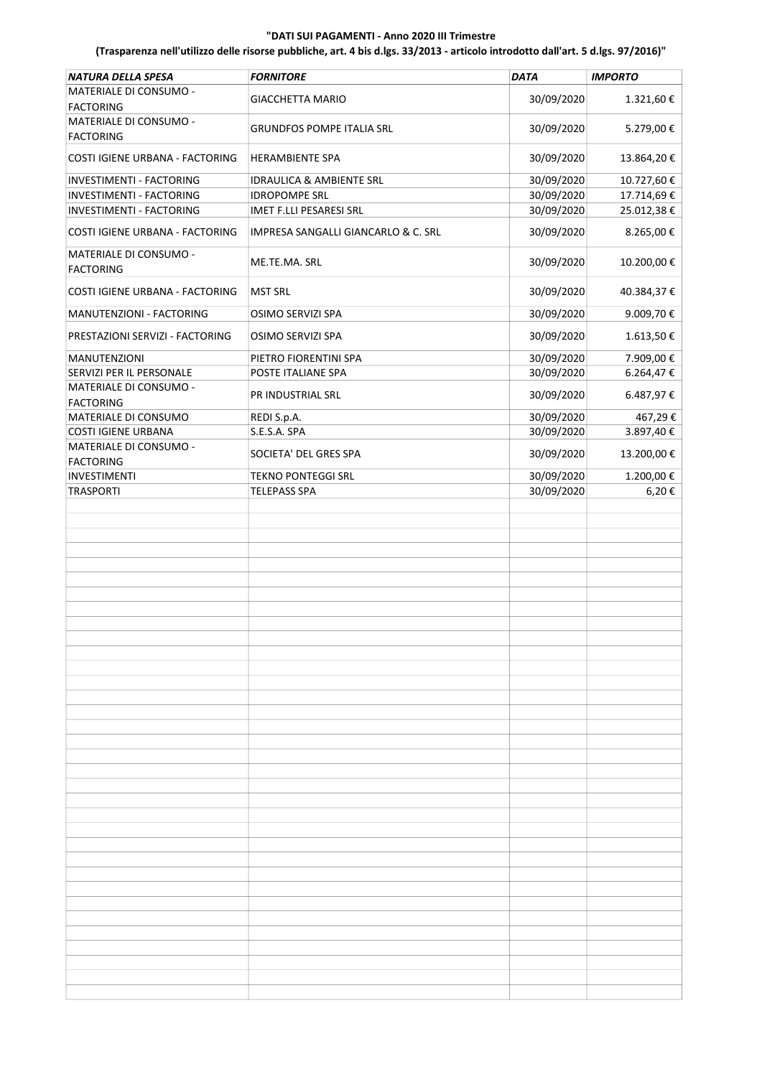| NATURA DELLA SPESA                         | <b>FORNITORE</b>                               | <b>DATA</b> | <b>IMPORTO</b> |
|--------------------------------------------|------------------------------------------------|-------------|----------------|
| MATERIALE DI CONSUMO -                     | <b>GIACCHETTA MARIO</b>                        | 30/09/2020  | 1.321,60€      |
| <b>FACTORING</b>                           |                                                |             |                |
| MATERIALE DI CONSUMO -<br><b>FACTORING</b> | <b>GRUNDFOS POMPE ITALIA SRL</b>               | 30/09/2020  | 5.279,00€      |
| COSTI IGIENE URBANA - FACTORING            | <b>HERAMBIENTE SPA</b>                         | 30/09/2020  | 13.864,20€     |
| INVESTIMENTI - FACTORING                   | IDRAULICA & AMBIENTE SRL                       | 30/09/2020  | 10.727,60€     |
| INVESTIMENTI - FACTORING                   | <b>IDROPOMPE SRL</b>                           | 30/09/2020  | 17.714,69€     |
| INVESTIMENTI - FACTORING                   | IMET F.LLI PESARESI SRL                        | 30/09/2020  | 25.012,38€     |
| COSTI IGIENE URBANA - FACTORING            | <b>IMPRESA SANGALLI GIANCARLO &amp; C. SRL</b> | 30/09/2020  | 8.265,00€      |
| MATERIALE DI CONSUMO -<br><b>FACTORING</b> | ME.TE.MA. SRL                                  | 30/09/2020  | 10.200,00€     |
| COSTI IGIENE URBANA - FACTORING            | <b>MST SRL</b>                                 | 30/09/2020  | 40.384,37€     |
| MANUTENZIONI - FACTORING                   | OSIMO SERVIZI SPA                              | 30/09/2020  | 9.009,70€      |
| PRESTAZIONI SERVIZI - FACTORING            | OSIMO SERVIZI SPA                              | 30/09/2020  | 1.613,50€      |
| MANUTENZIONI                               | PIETRO FIORENTINI SPA                          | 30/09/2020  | 7.909,00€      |
| SERVIZI PER IL PERSONALE                   | POSTE ITALIANE SPA                             | 30/09/2020  | 6.264,47€      |
| MATERIALE DI CONSUMO -                     | PR INDUSTRIAL SRL                              | 30/09/2020  | 6.487,97€      |
| <b>FACTORING</b>                           |                                                |             |                |
| MATERIALE DI CONSUMO                       | REDI S.p.A.                                    | 30/09/2020  | 467,29€        |
| COSTI IGIENE URBANA                        | S.E.S.A. SPA                                   | 30/09/2020  | 3.897,40€      |
| MATERIALE DI CONSUMO -<br><b>FACTORING</b> | SOCIETA' DEL GRES SPA                          | 30/09/2020  | 13.200,00€     |
| <b>INVESTIMENTI</b>                        | <b>TEKNO PONTEGGI SRL</b>                      | 30/09/2020  | 1.200,00€      |
| <b>TRASPORTI</b>                           | <b>TELEPASS SPA</b>                            | 30/09/2020  | 6,20€          |
|                                            |                                                |             |                |
|                                            |                                                |             |                |
|                                            |                                                |             |                |
|                                            |                                                |             |                |
|                                            |                                                |             |                |
|                                            |                                                |             |                |
|                                            |                                                |             |                |
|                                            |                                                |             |                |
|                                            |                                                |             |                |
|                                            |                                                |             |                |
|                                            |                                                |             |                |
|                                            |                                                |             |                |
|                                            |                                                |             |                |
|                                            |                                                |             |                |
|                                            |                                                |             |                |
|                                            |                                                |             |                |
|                                            |                                                |             |                |
|                                            |                                                |             |                |
|                                            |                                                |             |                |
|                                            |                                                |             |                |
|                                            |                                                |             |                |
|                                            |                                                |             |                |
|                                            |                                                |             |                |
|                                            |                                                |             |                |
|                                            |                                                |             |                |
|                                            |                                                |             |                |
|                                            |                                                |             |                |
|                                            |                                                |             |                |
|                                            |                                                |             |                |
|                                            |                                                |             |                |